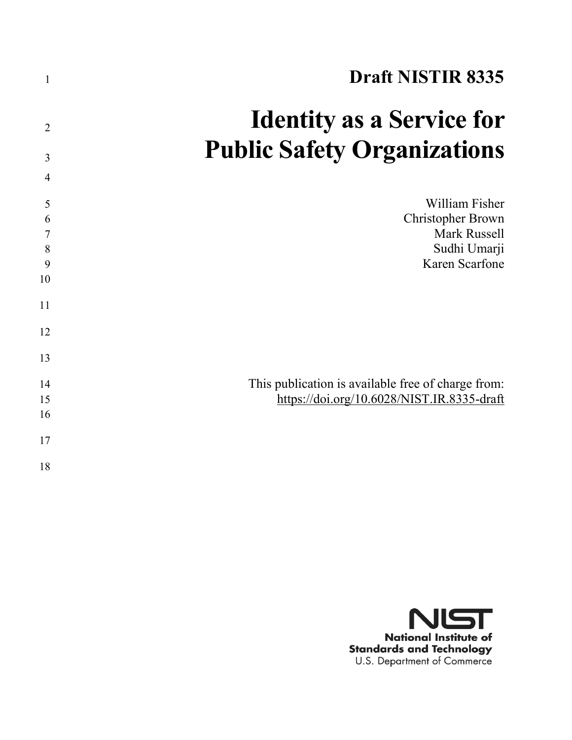| $\mathbf{1}$   | <b>Draft NISTIR 8335</b>                           |
|----------------|----------------------------------------------------|
| $\overline{2}$ | <b>Identity as a Service for</b>                   |
| 3              | <b>Public Safety Organizations</b>                 |
| $\overline{4}$ |                                                    |
| 5<br>6         | William Fisher<br><b>Christopher Brown</b>         |
| $\overline{7}$ | Mark Russell                                       |
| 8              | Sudhi Umarji                                       |
| 9<br>10        | Karen Scarfone                                     |
| 11             |                                                    |
| 12             |                                                    |
| 13             |                                                    |
| 14             | This publication is available free of charge from: |
| 15             | https://doi.org/10.6028/NIST.IR.8335-draft         |
| 16             |                                                    |
| 17             |                                                    |
| 18             |                                                    |

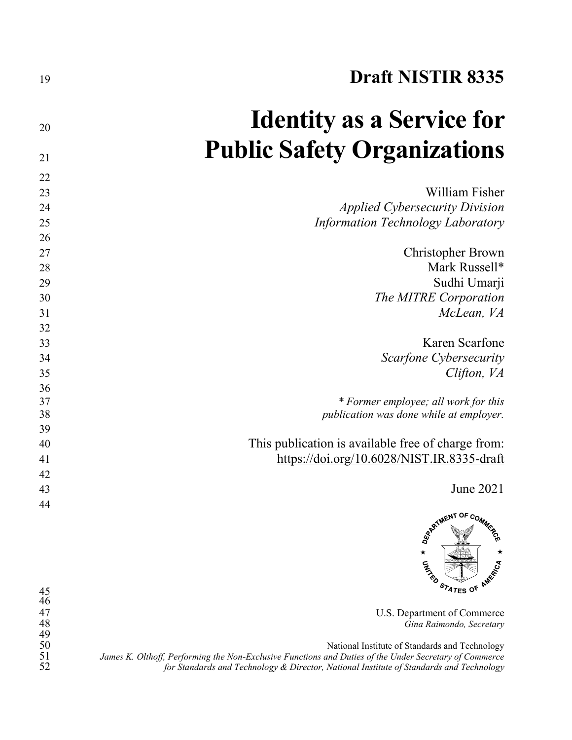| 19 | <b>Draft NISTIR 8335</b>                           |
|----|----------------------------------------------------|
| 20 | <b>Identity as a Service for</b>                   |
| 21 | <b>Public Safety Organizations</b>                 |
| 22 |                                                    |
| 23 | William Fisher                                     |
| 24 | <i>Applied Cybersecurity Division</i>              |
| 25 | Information Technology Laboratory                  |
| 26 |                                                    |
| 27 | <b>Christopher Brown</b>                           |
| 28 | Mark Russell*                                      |
| 29 | Sudhi Umarji                                       |
| 30 | The MITRE Corporation                              |
| 31 | McLean, VA                                         |
| 32 |                                                    |
| 33 | Karen Scarfone                                     |
| 34 | Scarfone Cybersecurity                             |
| 35 | Clifton, VA                                        |
| 36 |                                                    |
| 37 | * Former employee; all work for this               |
| 38 | publication was done while at employer.            |
| 39 |                                                    |
| 40 | This publication is available free of charge from: |
| 41 | https://doi.org/10.6028/NIST.IR.8335-draft         |
| 42 |                                                    |
| 43 | June 2021                                          |
| 44 |                                                    |
|    | RATMENT OF COMMER                                  |



U.S. Department of Commerce *Gina Raimondo, Secretary*

National Institute of Standards and Technology James K. Olthoff, Performing the Non-Exclusive Functions and Duties of the Under Secretary of Commerce *for Standards and Technology & Director, National Institute of Standards and Technology*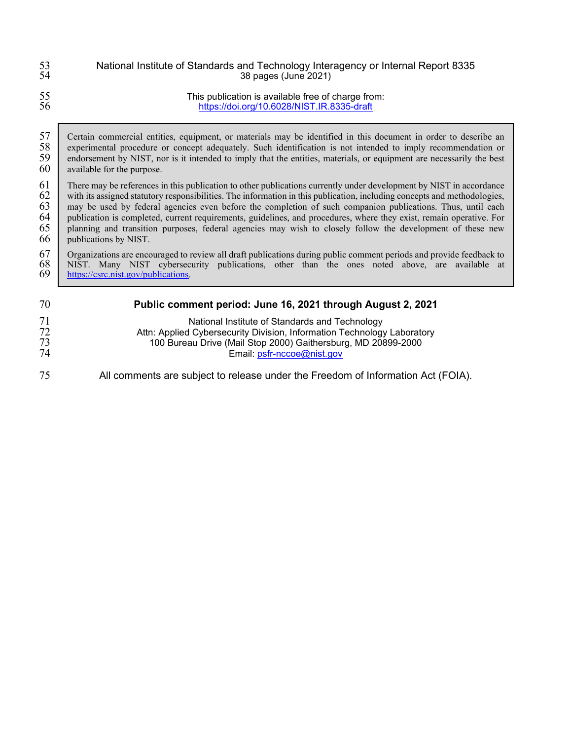| 53 | National Institute of Standards and Technology Interagency or Internal Report 8335                                       |
|----|--------------------------------------------------------------------------------------------------------------------------|
| 54 | 38 pages (June 2021)                                                                                                     |
| 55 | This publication is available free of charge from:                                                                       |
| 56 | https://doi.org/10.6028/NIST.IR.8335-draft                                                                               |
| 57 | Certain commercial entities, equipment, or materials may be identified in this document in order to describe an          |
| 58 | experimental procedure or concept adequately. Such identification is not intended to imply recommendation or             |
| 59 | endorsement by NIST, nor is it intended to imply that the entities, materials, or equipment are necessarily the best     |
| 60 | available for the purpose.                                                                                               |
| 61 | There may be references in this publication to other publications currently under development by NIST in accordance      |
| 62 | with its assigned statutory responsibilities. The information in this publication, including concepts and methodologies, |
| 63 | may be used by federal agencies even before the completion of such companion publications. Thus, until each              |
| 64 | publication is completed, current requirements, guidelines, and procedures, where they exist, remain operative. For      |
| 65 | planning and transition purposes, federal agencies may wish to closely follow the development of these new               |
| 66 | publications by NIST.                                                                                                    |
| 67 | Organizations are encouraged to review all draft publications during public comment periods and provide feedback to      |
| 68 | NIST. Many NIST cybersecurity publications, other than the ones noted above, are available at                            |
| 69 | https://csrc.nist.gov/publications.                                                                                      |
| 70 | Public comment period: June 16, 2021 through August 2, 2021                                                              |
| 71 | National Institute of Standards and Technology                                                                           |
| 72 | Attn: Applied Cybersecurity Division, Information Technology Laboratory                                                  |
| 73 | 100 Bureau Drive (Mail Stop 2000) Gaithersburg, MD 20899-2000                                                            |
| 74 | Email: psfr-nccoe@nist.gov                                                                                               |

All comments are subject to release under the Freedom of Information Act (FOIA).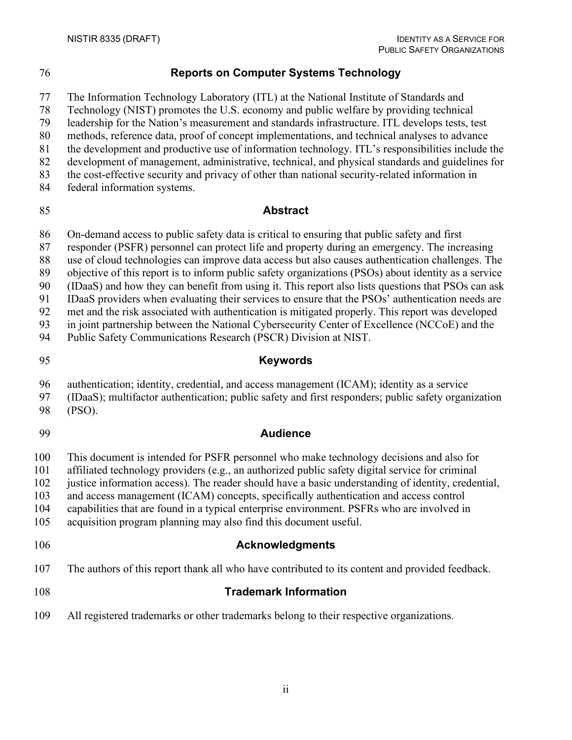## **Reports on Computer Systems Technology**

The Information Technology Laboratory (ITL) at the National Institute of Standards and

Technology (NIST) promotes the U.S. economy and public welfare by providing technical

leadership for the Nation's measurement and standards infrastructure. ITL develops tests, test

methods, reference data, proof of concept implementations, and technical analyses to advance

- the development and productive use of information technology. ITL's responsibilities include the
- development of management, administrative, technical, and physical standards and guidelines for the cost-effective security and privacy of other than national security-related information in
- federal information systems.

## **Abstract**

On-demand access to public safety data is critical to ensuring that public safety and first

responder (PSFR) personnel can protect life and property during an emergency. The increasing

use of cloud technologies can improve data access but also causes authentication challenges. The

objective of this report is to inform public safety organizations (PSOs) about identity as a service

(IDaaS) and how they can benefit from using it. This report also lists questions that PSOs can ask

IDaaS providers when evaluating their services to ensure that the PSOs' authentication needs are

 met and the risk associated with authentication is mitigated properly. This report was developed in joint partnership between the National Cybersecurity Center of Excellence (NCCoE) and the

Public Safety Communications Research (PSCR) Division at NIST.

# **Keywords**

- authentication; identity, credential, and access management (ICAM); identity as a service
- (IDaaS); multifactor authentication; public safety and first responders; public safety organization
- (PSO).
- 

## **Audience**

This document is intended for PSFR personnel who make technology decisions and also for

affiliated technology providers (e.g., an authorized public safety digital service for criminal

justice information access). The reader should have a basic understanding of identity, credential,

and access management (ICAM) concepts, specifically authentication and access control

capabilities that are found in a typical enterprise environment. PSFRs who are involved in

- acquisition program planning may also find this document useful.
- 

## **Acknowledgments**

The authors of this report thank all who have contributed to its content and provided feedback.

- **Trademark Information**
- All registered trademarks or other trademarks belong to their respective organizations.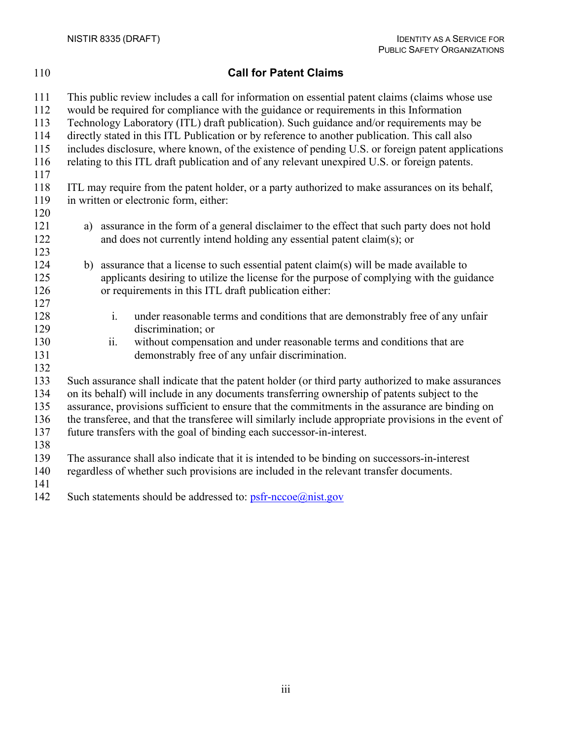## **Call for Patent Claims**

 This public review includes a call for information on essential patent claims (claims whose use would be required for compliance with the guidance or requirements in this Information Technology Laboratory (ITL) draft publication). Such guidance and/or requirements may be directly stated in this ITL Publication or by reference to another publication. This call also includes disclosure, where known, of the existence of pending U.S. or foreign patent applications relating to this ITL draft publication and of any relevant unexpired U.S. or foreign patents. ITL may require from the patent holder, or a party authorized to make assurances on its behalf, in written or electronic form, either: a) assurance in the form of a general disclaimer to the effect that such party does not hold and does not currently intend holding any essential patent claim(s); or b) assurance that a license to such essential patent claim(s) will be made available to applicants desiring to utilize the license for the purpose of complying with the guidance or requirements in this ITL draft publication either: i. under reasonable terms and conditions that are demonstrably free of any unfair discrimination; or 130 ii. without compensation and under reasonable terms and conditions that are<br>131 demonstrably free of any unfair discrimination. demonstrably free of any unfair discrimination. Such assurance shall indicate that the patent holder (or third party authorized to make assurances on its behalf) will include in any documents transferring ownership of patents subject to the assurance, provisions sufficient to ensure that the commitments in the assurance are binding on the transferee, and that the transferee will similarly include appropriate provisions in the event of future transfers with the goal of binding each successor-in-interest. The assurance shall also indicate that it is intended to be binding on successors-in-interest regardless of whether such provisions are included in the relevant transfer documents. 142 Such statements should be addressed to:  $\text{psfr-ncce}(a)$ nist.gov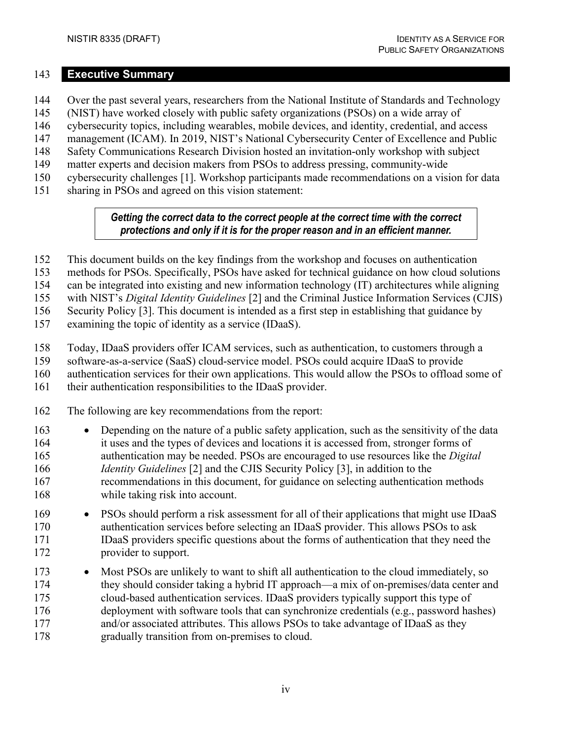#### <span id="page-5-0"></span>**Executive Summary**

- Over the past several years, researchers from the National Institute of Standards and Technology
- (NIST) have worked closely with public safety organizations (PSOs) on a wide array of
- cybersecurity topics, including wearables, mobile devices, and identity, credential, and access
- management (ICAM). In 2019, NIST's National Cybersecurity Center of Excellence and Public
- Safety Communications Research Division hosted an invitation-only workshop with subject
- matter experts and decision makers from PSOs to address pressing, community-wide
- cybersecurity challenges [\[1\].](#page-29-0) Workshop participants made recommendations on a vision for data
- sharing in PSOs and agreed on this vision statement:

#### *Getting the correct data to the correct people at the correct time with the correct protections and only if it is for the proper reason and in an efficient manner.*

- This document builds on the key findings from the workshop and focuses on authentication
- methods for PSOs. Specifically, PSOs have asked for technical guidance on how cloud solutions

can be integrated into existing and new information technology (IT) architectures while aligning

with NIST's *Digital Identity Guidelines* [\[2\]](#page-29-1) and the Criminal Justice Information Services (CJIS)

Security Policy [\[3\].](#page-29-2) This document is intended as a first step in establishing that guidance by

examining the topic of identity as a service (IDaaS).

- Today, IDaaS providers offer ICAM services, such as authentication, to customers through a
- software-as-a-service (SaaS) cloud-service model. PSOs could acquire IDaaS to provide
- authentication services for their own applications. This would allow the PSOs to offload some of
- their authentication responsibilities to the IDaaS provider.
- The following are key recommendations from the report:
- Depending on the nature of a public safety application, such as the sensitivity of the data it uses and the types of devices and locations it is accessed from, stronger forms of authentication may be needed. PSOs are encouraged to use resources like the *Digital Identity Guidelines* [\[2\]](#page-29-1) and the CJIS Security Policy [\[3\],](#page-29-2) in addition to the recommendations in this document, for guidance on selecting authentication methods while taking risk into account.
- PSOs should perform a risk assessment for all of their applications that might use IDaaS authentication services before selecting an IDaaS provider. This allows PSOs to ask IDaaS providers specific questions about the forms of authentication that they need the provider to support.
- Most PSOs are unlikely to want to shift all authentication to the cloud immediately, so they should consider taking a hybrid IT approach—a mix of on-premises/data center and cloud-based authentication services. IDaaS providers typically support this type of deployment with software tools that can synchronize credentials (e.g., password hashes) 177 and/or associated attributes. This allows PSOs to take advantage of IDaaS as they gradually transition from on-premises to cloud.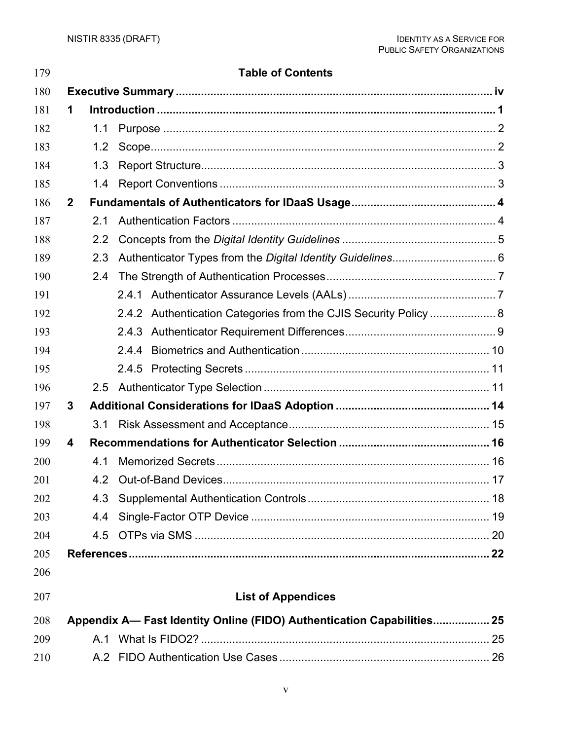| 179 |              |                  | <b>Table of Contents</b>                                               |  |
|-----|--------------|------------------|------------------------------------------------------------------------|--|
| 180 |              |                  |                                                                        |  |
| 181 | 1            |                  |                                                                        |  |
| 182 |              | 1.1              |                                                                        |  |
| 183 |              | 1.2              |                                                                        |  |
| 184 |              | 1.3              |                                                                        |  |
| 185 |              | 1.4              |                                                                        |  |
| 186 | $\mathbf{2}$ |                  |                                                                        |  |
| 187 |              | 2.1              |                                                                        |  |
| 188 |              | $2.2\phantom{0}$ |                                                                        |  |
| 189 |              | 2.3              |                                                                        |  |
| 190 |              | 2.4              |                                                                        |  |
| 191 |              |                  |                                                                        |  |
| 192 |              |                  | 2.4.2 Authentication Categories from the CJIS Security Policy  8       |  |
| 193 |              |                  |                                                                        |  |
| 194 |              |                  |                                                                        |  |
| 195 |              |                  |                                                                        |  |
| 196 |              | 2.5              |                                                                        |  |
| 197 | 3            |                  |                                                                        |  |
| 198 |              | 3.1              |                                                                        |  |
| 199 | 4            |                  |                                                                        |  |
| 200 |              | 4.1              |                                                                        |  |
| 201 |              | 4.2              |                                                                        |  |
| 202 |              | 4.3              |                                                                        |  |
| 203 |              | 4.4              |                                                                        |  |
| 204 |              |                  |                                                                        |  |
| 205 |              |                  |                                                                        |  |
| 206 |              |                  |                                                                        |  |
| 207 |              |                  | <b>List of Appendices</b>                                              |  |
| 208 |              |                  | Appendix A- Fast Identity Online (FIDO) Authentication Capabilities 25 |  |
| 209 |              |                  |                                                                        |  |
| 210 |              |                  |                                                                        |  |

#### v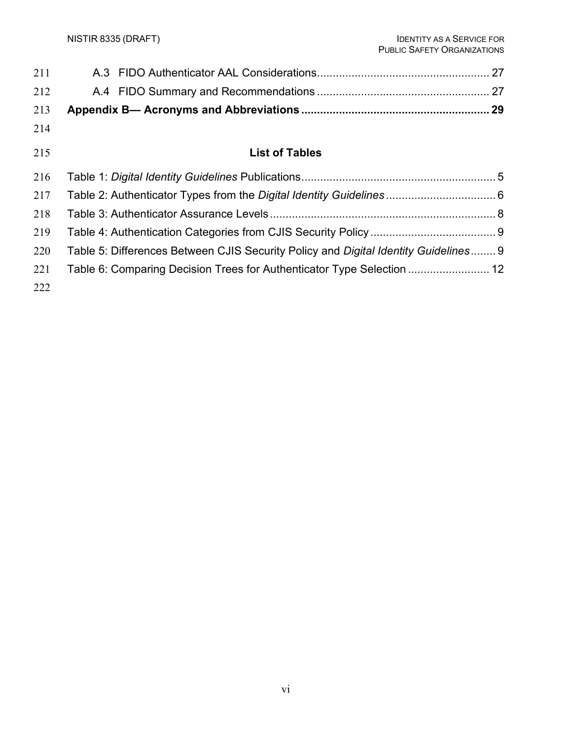| 211 |                                                                                     |  |
|-----|-------------------------------------------------------------------------------------|--|
| 212 |                                                                                     |  |
| 213 |                                                                                     |  |
| 214 |                                                                                     |  |
| 215 | <b>List of Tables</b>                                                               |  |
| 216 |                                                                                     |  |
| 217 |                                                                                     |  |
| 218 |                                                                                     |  |
| 219 |                                                                                     |  |
| 220 | Table 5: Differences Between CJIS Security Policy and Digital Identity Guidelines 9 |  |
| 221 | Table 6: Comparing Decision Trees for Authenticator Type Selection  12              |  |
| 222 |                                                                                     |  |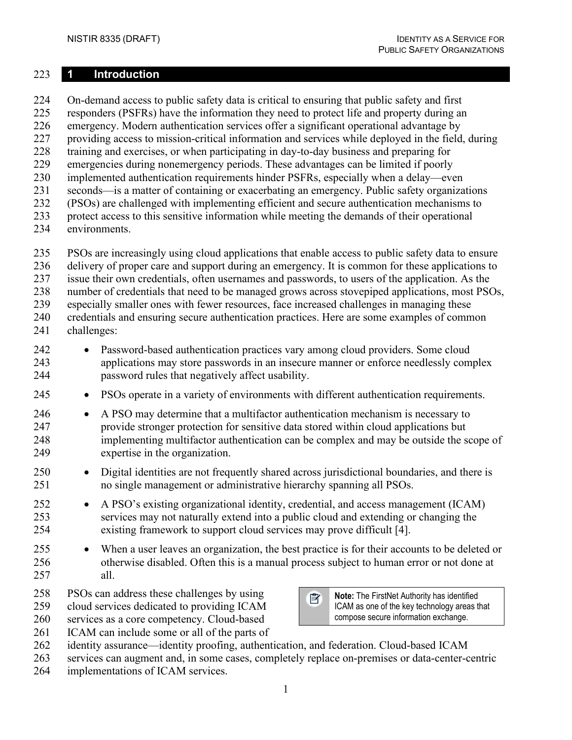#### <span id="page-8-0"></span>**1 Introduction**

 On-demand access to public safety data is critical to ensuring that public safety and first responders (PSFRs) have the information they need to protect life and property during an emergency. Modern authentication services offer a significant operational advantage by providing access to mission-critical information and services while deployed in the field, during training and exercises, or when participating in day-to-day business and preparing for emergencies during nonemergency periods. These advantages can be limited if poorly implemented authentication requirements hinder PSFRs, especially when a delay—even seconds—is a matter of containing or exacerbating an emergency. Public safety organizations (PSOs) are challenged with implementing efficient and secure authentication mechanisms to protect access to this sensitive information while meeting the demands of their operational environments.

- PSOs are increasingly using cloud applications that enable access to public safety data to ensure
- delivery of proper care and support during an emergency. It is common for these applications to
- issue their own credentials, often usernames and passwords, to users of the application. As the
- number of credentials that need to be managed grows across stovepiped applications, most PSOs,
- especially smaller ones with fewer resources, face increased challenges in managing these credentials and ensuring secure authentication practices. Here are some examples of common
- challenges:
- Password-based authentication practices vary among cloud providers. Some cloud applications may store passwords in an insecure manner or enforce needlessly complex password rules that negatively affect usability.
- PSOs operate in a variety of environments with different authentication requirements.
- A PSO may determine that a multifactor authentication mechanism is necessary to provide stronger protection for sensitive data stored within cloud applications but implementing multifactor authentication can be complex and may be outside the scope of expertise in the organization.
- Digital identities are not frequently shared across jurisdictional boundaries, and there is no single management or administrative hierarchy spanning all PSOs.
- A PSO's existing organizational identity, credential, and access management (ICAM) services may not naturally extend into a public cloud and extending or changing the existing framework to support cloud services may prove difficult [\[4\].](#page-29-4)
- 255 When a user leaves an organization, the best practice is for their accounts to be deleted or otherwise disabled. Often this is a manual process subject to human error or not done at all.
- PSOs can address these challenges by using
- cloud services dedicated to providing ICAM
- services as a core competency. Cloud-based
- 261 ICAM can include some or all of the parts of
- identity assurance—identity proofing, authentication, and federation. Cloud-based ICAM
- services can augment and, in some cases, completely replace on-premises or data-center-centric
- implementations of ICAM services.

序

**Note:** The FirstNet Authority has identified ICAM as one of the key technology areas that compose secure information exchange.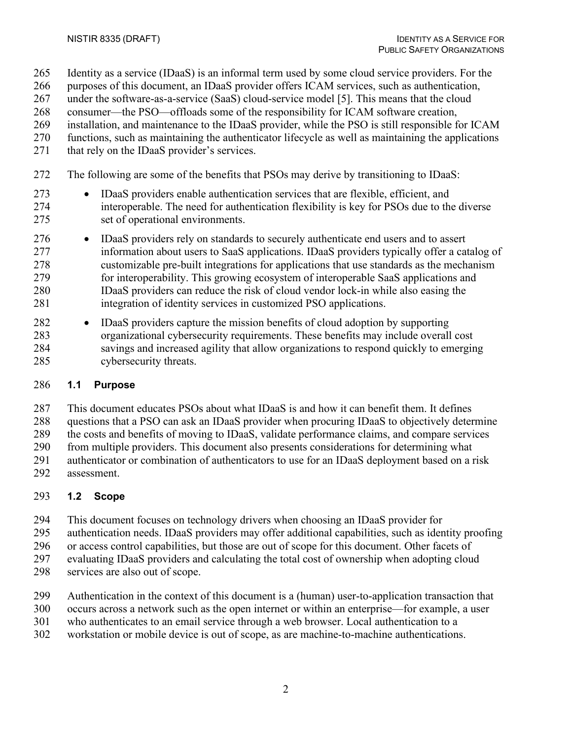- Identity as a service (IDaaS) is an informal term used by some cloud service providers. For the
- purposes of this document, an IDaaS provider offers ICAM services, such as authentication,
- under the software-as-a-service (SaaS) cloud-service model [\[5\].](#page-29-5) This means that the cloud
- consumer—the PSO—offloads some of the responsibility for ICAM software creation,
- installation, and maintenance to the IDaaS provider, while the PSO is still responsible for ICAM
- functions, such as maintaining the authenticator lifecycle as well as maintaining the applications 271 that rely on the IDaaS provider's services.
- The following are some of the benefits that PSOs may derive by transitioning to IDaaS:
- IDaaS providers enable authentication services that are flexible, efficient, and interoperable. The need for authentication flexibility is key for PSOs due to the diverse set of operational environments.
- IDaaS providers rely on standards to securely authenticate end users and to assert information about users to SaaS applications. IDaaS providers typically offer a catalog of customizable pre-built integrations for applications that use standards as the mechanism for interoperability. This growing ecosystem of interoperable SaaS applications and IDaaS providers can reduce the risk of cloud vendor lock-in while also easing the integration of identity services in customized PSO applications.
- IDaaS providers capture the mission benefits of cloud adoption by supporting organizational cybersecurity requirements. These benefits may include overall cost savings and increased agility that allow organizations to respond quickly to emerging cybersecurity threats.

## <span id="page-9-0"></span>**1.1 Purpose**

- This document educates PSOs about what IDaaS is and how it can benefit them. It defines questions that a PSO can ask an IDaaS provider when procuring IDaaS to objectively determine
- the costs and benefits of moving to IDaaS, validate performance claims, and compare services
- from multiple providers. This document also presents considerations for determining what
- authenticator or combination of authenticators to use for an IDaaS deployment based on a risk assessment.
- 

## <span id="page-9-1"></span>**1.2 Scope**

- This document focuses on technology drivers when choosing an IDaaS provider for
- authentication needs. IDaaS providers may offer additional capabilities, such as identity proofing
- or access control capabilities, but those are out of scope for this document. Other facets of
- evaluating IDaaS providers and calculating the total cost of ownership when adopting cloud
- services are also out of scope.
- Authentication in the context of this document is a (human) user-to-application transaction that
- occurs across a network such as the open internet or within an enterprise—for example, a user
- who authenticates to an email service through a web browser. Local authentication to a
- workstation or mobile device is out of scope, as are machine-to-machine authentications.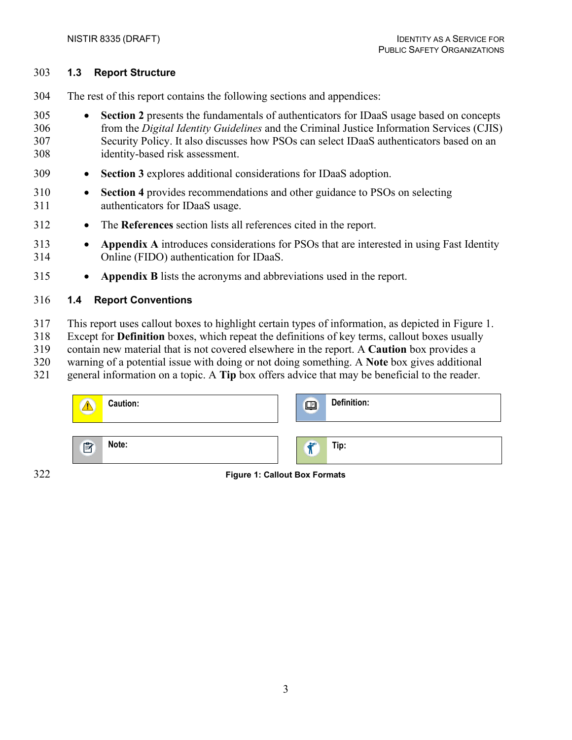#### <span id="page-10-0"></span>**1.3 Report Structure**

The rest of this report contains the following sections and appendices:

- **Section 2** presents the fundamentals of authenticators for IDaaS usage based on concepts from the *Digital Identity Guidelines* and the Criminal Justice Information Services (CJIS) Security Policy. It also discusses how PSOs can select IDaaS authenticators based on an identity-based risk assessment.
- **Section 3** explores additional considerations for IDaaS adoption.
- **Section 4** provides recommendations and other guidance to PSOs on selecting authenticators for IDaaS usage.
- The **References** section lists all references cited in the report.
- **Appendix A** introduces considerations for PSOs that are interested in using Fast Identity Online (FIDO) authentication for IDaaS.
- **Appendix B** lists the acronyms and abbreviations used in the report.

## <span id="page-10-1"></span>**1.4 Report Conventions**

- This report uses callout boxes to highlight certain types of information, as depicted in [Figure 1.](#page-10-2)
- Except for **Definition** boxes, which repeat the definitions of key terms, callout boxes usually
- contain new material that is not covered elsewhere in the report. A **Caution** box provides a
- warning of a potential issue with doing or not doing something. A **Note** box gives additional
- general information on a topic. A **Tip** box offers advice that may be beneficial to the reader.

| <b>Caution:</b> | $\Box$                   | Definition: |
|-----------------|--------------------------|-------------|
| Note:<br>团      | $Q = 10$<br>$\mathbf{u}$ | Tip:        |

<span id="page-10-2"></span>

**Figure 1: Callout Box Formats**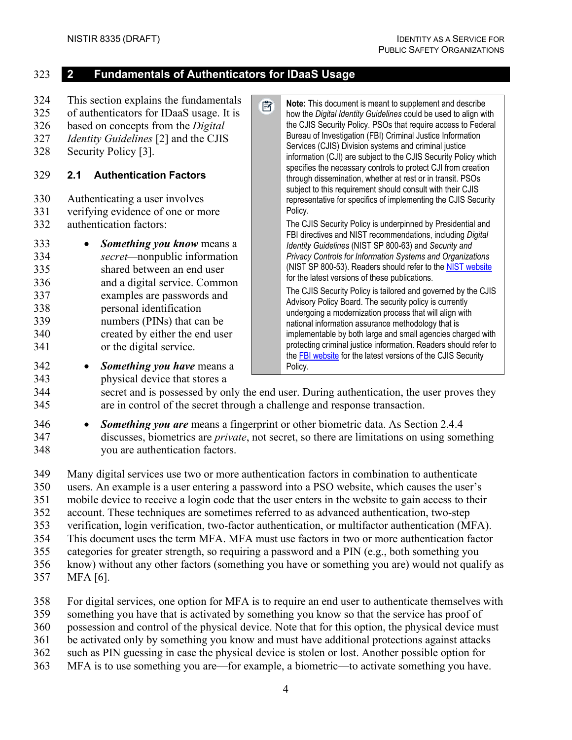#### <span id="page-11-0"></span>323 **2 Fundamentals of Authenticators for IDaaS Usage**

- <span id="page-11-1"></span>324 This section explains the fundamentals 序 **Note:** This document is meant to supplement and describe 325 of authenticators for IDaaS usage. It is how the *Digital Identity Guidelines* could be used to align with 326 based on concepts from the *Digital*  the CJIS Security Policy. PSOs that require access to Federal Bureau of Investigation (FBI) Criminal Justice Information 327 *Identity Guidelines* [\[2\]](#page-29-1) and the CJIS Services (CJIS) Division systems and criminal justice 328 Security Policy [\[3\].](#page-29-2) information (CJI) are subject to the CJIS Security Policy which specifies the necessary controls to protect CJI from creation 329 **2.1 Authentication Factors** through dissemination, whether at rest or in transit. PSOs subject to this requirement should consult with their CJIS 330 Authenticating a user involves representative for specifics of implementing the CJIS Security 331 verifying evidence of one or more Policy. 332 authentication factors: The CJIS Security Policy is underpinned by Presidential and FBI directives and NIST recommendations, including *Digital*  333 • *Something you know* means a *Identity Guidelines* (NIST SP 800-63) and *Security and*  334 *secret—*nonpublic information *Privacy Controls for Information Systems and Organizations* (NIST SP 800-53). Readers should refer to the [NIST website](https://csrc.nist.gov/publications) 335 shared between an end user for the latest versions of these publications. 336 and a digital service. Common The CJIS Security Policy is tailored and governed by the CJIS 337 examples are passwords and Advisory Policy Board. The security policy is currently 338 personal identification undergoing a modernization process that will align with 339 numbers (PINs) that can be national information assurance methodology that is 340 created by either the end user implementable by both large and small agencies charged with protecting criminal justice information. Readers should refer to 341 or the digital service.
- 342 *Something you have* means a 343 physical device that stores a

the FBI [website](https://www.fbi.gov/services/cjis/cjis-security-policy-resource-center) for the latest versions of the CJIS Security Policy.

344 secret and is possessed by only the end user. During authentication, the user proves they 345 are in control of the secret through a challenge and response transaction.

346 • *Something you are* means a fingerprint or other biometric data. As Section [2.4.4](#page-17-0) 347 discusses, biometrics are *private*, not secret, so there are limitations on using something 348 you are authentication factors.

349 Many digital services use two or more authentication factors in combination to authenticate

350 users. An example is a user entering a password into a PSO website, which causes the user's

351 mobile device to receive a login code that the user enters in the website to gain access to their

352 account. These techniques are sometimes referred to as advanced authentication, two-step

353 verification, login verification, two-factor authentication, or multifactor authentication (MFA).

354 This document uses the term MFA. MFA must use factors in two or more authentication factor

355 categories for greater strength, so requiring a password and a PIN (e.g., both something you

- 356 know) without any other factors (something you have or something you are) would not qualify as
- 357 MFA [\[6\].](#page-29-6)

358 For digital services, one option for MFA is to require an end user to authenticate themselves with

359 something you have that is activated by something you know so that the service has proof of

360 possession and control of the physical device. Note that for this option, the physical device must

361 be activated only by something you know and must have additional protections against attacks

- 362 such as PIN guessing in case the physical device is stolen or lost. Another possible option for
- 363 MFA is to use something you are—for example, a biometric—to activate something you have.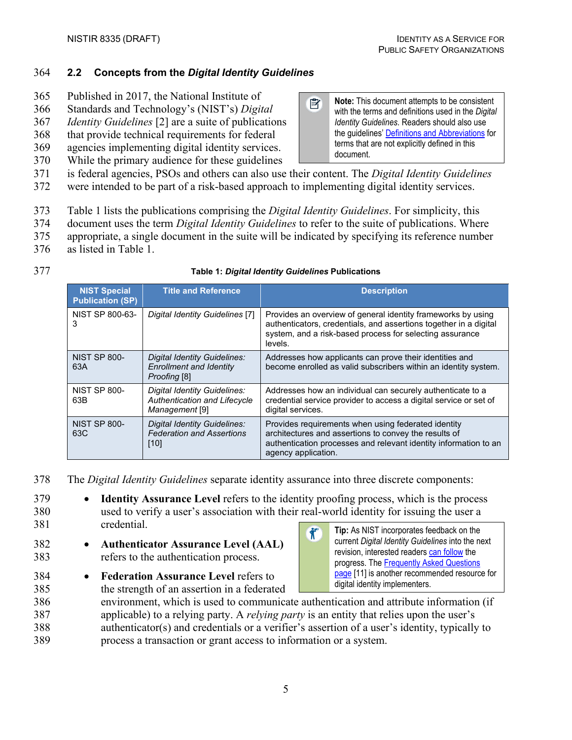## <span id="page-12-0"></span>364 **2.2 Concepts from the** *Digital Identity Guidelines*

- 365 Published in 2017, the National Institute of
- 366 Standards and Technology's (NIST's) *Digital*
- 367 *Identity Guidelines* [\[2\]](#page-29-1) are a suite of publications
- 368 that provide technical requirements for federal
- 369 agencies implementing digital identity services.
- 370 While the primary audience for these guidelines
- 团 **Note:** This document attempts to be consistent with the terms and definitions used in the *Digital Identity Guidelines*. Readers should also use the guidelines' [Definitions and Abbreviations](https://pages.nist.gov/800-63-3/sp800-63-3.html#def-and-acr) for terms that are not explicitly defined in this document.
- 371 is federal agencies, PSOs and others can also use their content. The *Digital Identity Guidelines*
- 372 were intended to be part of a risk-based approach to implementing digital identity services.
- 373 [Table 1](#page-12-1) lists the publications comprising the *Digital Identity Guidelines*. For simplicity, this
- 374 document uses the term *Digital Identity Guidelines* to refer to the suite of publications. Where
- 375 appropriate, a single document in the suite will be indicated by specifying its reference number
- 376 as listed in [Table 1.](#page-12-1)
- 

#### 377 **Table 1:** *Digital Identity Guidelines* **Publications**

<span id="page-12-1"></span>

| <b>NIST Special</b><br><b>Publication (SP)</b> | <b>Title and Reference</b>                                                     | <b>Description</b>                                                                                                                                                                                       |
|------------------------------------------------|--------------------------------------------------------------------------------|----------------------------------------------------------------------------------------------------------------------------------------------------------------------------------------------------------|
| NIST SP 800-63-<br>3                           | Digital Identity Guidelines [7]                                                | Provides an overview of general identity frameworks by using<br>authenticators, credentials, and assertions together in a digital<br>system, and a risk-based process for selecting assurance<br>levels. |
| <b>NIST SP 800-</b><br>63A                     | Digital Identity Guidelines:<br><b>Enrollment and Identity</b><br>Proofing [8] | Addresses how applicants can prove their identities and<br>become enrolled as valid subscribers within an identity system.                                                                               |
| <b>NIST SP 800-</b><br>63B                     | Digital Identity Guidelines:<br>Authentication and Lifecycle<br>Management [9] | Addresses how an individual can securely authenticate to a<br>credential service provider to access a digital service or set of<br>digital services.                                                     |
| <b>NIST SP 800-</b><br>63C                     | Digital Identity Guidelines:<br><b>Federation and Assertions</b><br>$[10]$     | Provides requirements when using federated identity<br>architectures and assertions to convey the results of<br>authentication processes and relevant identity information to an<br>agency application.  |

378 The *Digital Identity Guidelines* separate identity assurance into three discrete components:

- 379 **Identity Assurance Level** refers to the identity proofing process, which is the process 380 used to verify a user's association with their real-world identity for issuing the user a 381 credential.  $\tilde{\mathbf{T}}^{\circ}$
- 382 **Authenticator Assurance Level (AAL)** 383 refers to the authentication process.
- 384 **Federation Assurance Level** refers to
- 385 the strength of an assertion in a federated

 environment, which is used to communicate authentication and attribute information (if applicable) to a relying party. A *relying party* is an entity that relies upon the user's authenticator(s) and credentials or a verifier's assertion of a user's identity, typically to process a transaction or grant access to information or a system.

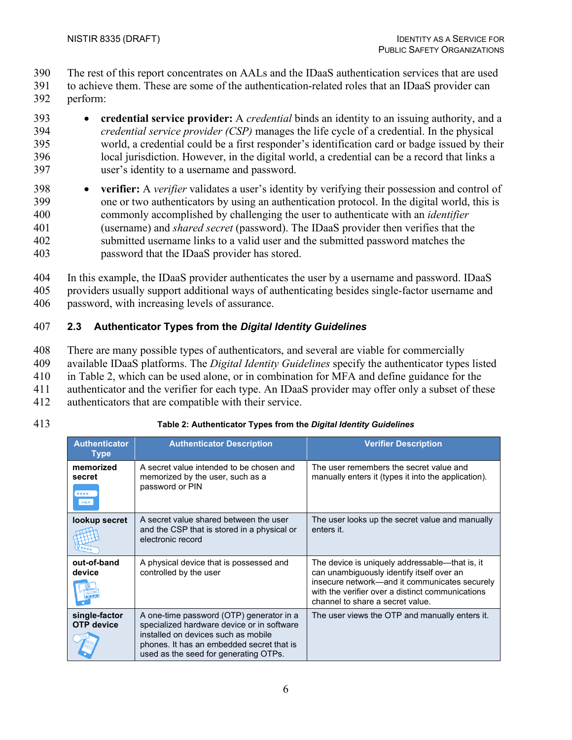390 The rest of this report concentrates on AALs and the IDaaS authentication services that are used

- 391 to achieve them. These are some of the authentication-related roles that an IDaaS provider can 392 perform:
- 393 **credential service provider:** A *credential* binds an identity to an issuing authority, and a 394 *credential service provider (CSP)* manages the life cycle of a credential. In the physical 395 world, a credential could be a first responder's identification card or badge issued by their 396 local jurisdiction. However, in the digital world, a credential can be a record that links a 397 user's identity to a username and password.
- 398 **verifier:** A *verifier* validates a user's identity by verifying their possession and control of 399 one or two authenticators by using an authentication protocol. In the digital world, this is 400 commonly accomplished by challenging the user to authenticate with an *identifier* 401 (username) and *shared secret* (password). The IDaaS provider then verifies that the 402 submitted username links to a valid user and the submitted password matches the 403 password that the IDaaS provider has stored.
- 404 In this example, the IDaaS provider authenticates the user by a username and password. IDaaS 405 providers usually support additional ways of authenticating besides single-factor username and 406 password, with increasing levels of assurance.

## <span id="page-13-0"></span>407 **2.3 Authenticator Types from the** *Digital Identity Guidelines*

- 408 There are many possible types of authenticators, and several are viable for commercially
- 409 available IDaaS platforms. The *Digital Identity Guidelines* specify the authenticator types listed
- 410 in [Table 2,](#page-13-1) which can be used alone, or in combination for MFA and define guidance for the
- 411 authenticator and the verifier for each type. An IDaaS provider may offer only a subset of these
- 412 authenticators that are compatible with their service.
- 

<span id="page-13-1"></span>

| <b>Authenticator</b><br><b>Type</b>   | <b>Authenticator Description</b>                                                                                                                                                                                    | <b>Verifier Description</b>                                                                                                                                                                                                          |
|---------------------------------------|---------------------------------------------------------------------------------------------------------------------------------------------------------------------------------------------------------------------|--------------------------------------------------------------------------------------------------------------------------------------------------------------------------------------------------------------------------------------|
| memorized<br>secret<br>****<br>Log in | A secret value intended to be chosen and<br>memorized by the user, such as a<br>password or PIN                                                                                                                     | The user remembers the secret value and<br>manually enters it (types it into the application).                                                                                                                                       |
| lookup secret                         | A secret value shared between the user<br>and the CSP that is stored in a physical or<br>electronic record                                                                                                          | The user looks up the secret value and manually<br>enters it.                                                                                                                                                                        |
| out-of-band<br>device                 | A physical device that is possessed and<br>controlled by the user                                                                                                                                                   | The device is uniquely addressable—that is, it<br>can unambiguously identify itself over an<br>insecure network—and it communicates securely<br>with the verifier over a distinct communications<br>channel to share a secret value. |
| single-factor<br><b>OTP</b> device    | A one-time password (OTP) generator in a<br>specialized hardware device or in software<br>installed on devices such as mobile<br>phones. It has an embedded secret that is<br>used as the seed for generating OTPs. | The user views the OTP and manually enters it.                                                                                                                                                                                       |

## 413 **Table 2: Authenticator Types from the** *Digital Identity Guidelines*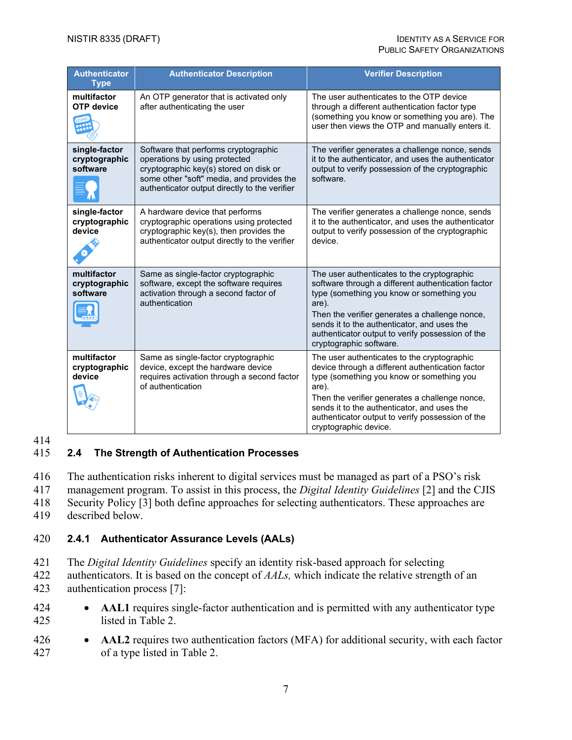| <b>Authenticator</b><br><b>Authenticator Description</b><br><b>Type</b> |                                                                                                                                                                                                               | <b>Verifier Description</b>                                                                                                                                                                                                                                                                                                             |
|-------------------------------------------------------------------------|---------------------------------------------------------------------------------------------------------------------------------------------------------------------------------------------------------------|-----------------------------------------------------------------------------------------------------------------------------------------------------------------------------------------------------------------------------------------------------------------------------------------------------------------------------------------|
| multifactor<br><b>OTP</b> device                                        | An OTP generator that is activated only<br>after authenticating the user                                                                                                                                      | The user authenticates to the OTP device<br>through a different authentication factor type<br>(something you know or something you are). The<br>user then views the OTP and manually enters it.                                                                                                                                         |
| single-factor<br>cryptographic<br>software                              | Software that performs cryptographic<br>operations by using protected<br>cryptographic key(s) stored on disk or<br>some other "soft" media, and provides the<br>authenticator output directly to the verifier | The verifier generates a challenge nonce, sends<br>it to the authenticator, and uses the authenticator<br>output to verify possession of the cryptographic<br>software.                                                                                                                                                                 |
| single-factor<br>cryptographic<br>device                                | A hardware device that performs<br>cryptographic operations using protected<br>cryptographic key(s), then provides the<br>authenticator output directly to the verifier                                       | The verifier generates a challenge nonce, sends<br>it to the authenticator, and uses the authenticator<br>output to verify possession of the cryptographic<br>device.                                                                                                                                                                   |
| multifactor<br>cryptographic<br>software                                | Same as single-factor cryptographic<br>software, except the software requires<br>activation through a second factor of<br>authentication                                                                      | The user authenticates to the cryptographic<br>software through a different authentication factor<br>type (something you know or something you<br>are).<br>Then the verifier generates a challenge nonce,<br>sends it to the authenticator, and uses the<br>authenticator output to verify possession of the<br>cryptographic software. |
| multifactor<br>cryptographic<br>device                                  | Same as single-factor cryptographic<br>device, except the hardware device<br>requires activation through a second factor<br>of authentication                                                                 | The user authenticates to the cryptographic<br>device through a different authentication factor<br>type (something you know or something you<br>are).<br>Then the verifier generates a challenge nonce,<br>sends it to the authenticator, and uses the<br>authenticator output to verify possession of the<br>cryptographic device.     |

#### 414

#### <span id="page-14-0"></span>415 **2.4 The Strength of Authentication Processes**

416 The authentication risks inherent to digital services must be managed as part of a PSO's risk

417 management program. To assist in this process, the *Digital Identity Guidelines* [\[2\]](#page-29-1) and the CJIS

418 Security Policy [\[3\]](#page-29-2) both define approaches for selecting authenticators. These approaches are

419 described below.

## <span id="page-14-1"></span>420 **2.4.1 Authenticator Assurance Levels (AALs)**

- 421 The *Digital Identity Guidelines* specify an identity risk-based approach for selecting
- 422 authenticators. It is based on the concept of *AALs,* which indicate the relative strength of an 423 authentication process [\[7\]:](#page-29-7)
- 424 **AAL1** requires single-factor authentication and is permitted with any authenticator type 425 listed in [Table 2.](#page-13-1)
- 426 **AAL2** requires two authentication factors (MFA) for additional security, with each factor 427 of a type listed in [Table 2.](#page-13-1)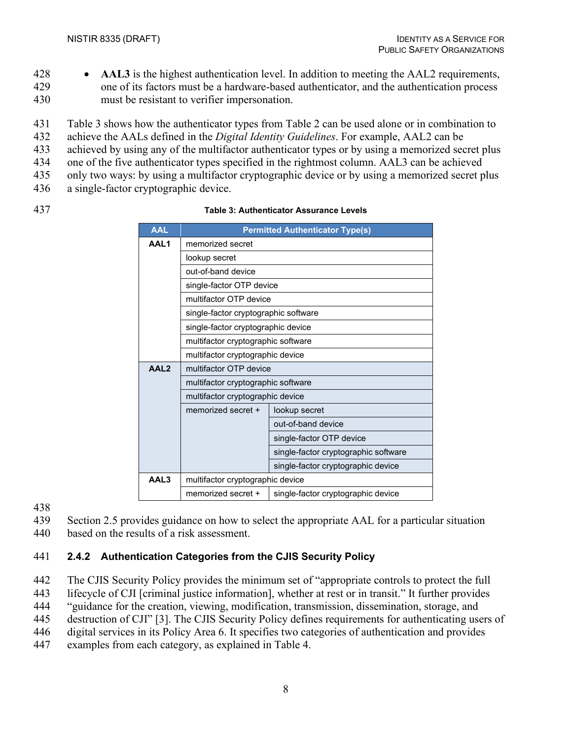- 428 **AAL3** is the highest authentication level. In addition to meeting the AAL2 requirements,
- 429 one of its factors must be a hardware-based authenticator, and the authentication process 430 must be resistant to verifier impersonation.
- 431 [Table 3](#page-15-1) shows how the authenticator types from [Table 2](#page-13-1) can be used alone or in combination to
- 432 achieve the AALs defined in the *Digital Identity Guidelines*. For example, AAL2 can be
- 433 achieved by using any of the multifactor authenticator types or by using a memorized secret plus
- 434 one of the five authenticator types specified in the rightmost column. AAL3 can be achieved 435 only two ways: by using a multifactor cryptographic device or by using a memorized secret plus
- 436 a single-factor cryptographic device.
- 

<span id="page-15-1"></span>

#### 437 **Table 3: Authenticator Assurance Levels**

| AAL              | <b>Permitted Authenticator Type(s)</b> |                                      |  |  |
|------------------|----------------------------------------|--------------------------------------|--|--|
| AAL1             | memorized secret                       |                                      |  |  |
|                  | lookup secret                          |                                      |  |  |
|                  | out-of-band device                     |                                      |  |  |
|                  | single-factor OTP device               |                                      |  |  |
|                  | multifactor OTP device                 |                                      |  |  |
|                  | single-factor cryptographic software   |                                      |  |  |
|                  | single-factor cryptographic device     |                                      |  |  |
|                  | multifactor cryptographic software     |                                      |  |  |
|                  | multifactor cryptographic device       |                                      |  |  |
| AAL <sub>2</sub> | multifactor OTP device                 |                                      |  |  |
|                  | multifactor cryptographic software     |                                      |  |  |
|                  | multifactor cryptographic device       |                                      |  |  |
|                  | memorized secret +                     | lookup secret                        |  |  |
|                  |                                        | out-of-band device                   |  |  |
|                  |                                        | single-factor OTP device             |  |  |
|                  |                                        | single-factor cryptographic software |  |  |
|                  | single-factor cryptographic device     |                                      |  |  |
| AAL3             | multifactor cryptographic device       |                                      |  |  |
|                  | memorized secret +                     | single-factor cryptographic device   |  |  |

438

439 Section [2.5](#page-18-1) provides guidance on how to select the appropriate AAL for a particular situation

440 based on the results of a risk assessment.

## <span id="page-15-0"></span>441 **2.4.2 Authentication Categories from the CJIS Security Policy**

442 The CJIS Security Policy provides the minimum set of "appropriate controls to protect the full

443 lifecycle of CJI [criminal justice information], whether at rest or in transit." It further provides

444 "guidance for the creation, viewing, modification, transmission, dissemination, storage, and

445 destruction of CJI" [\[3\].](#page-29-2) The CJIS Security Policy defines requirements for authenticating users of

446 digital services in its Policy Area 6. It specifies two categories of authentication and provides

447 examples from each category, as explained in [Table 4.](#page-16-1)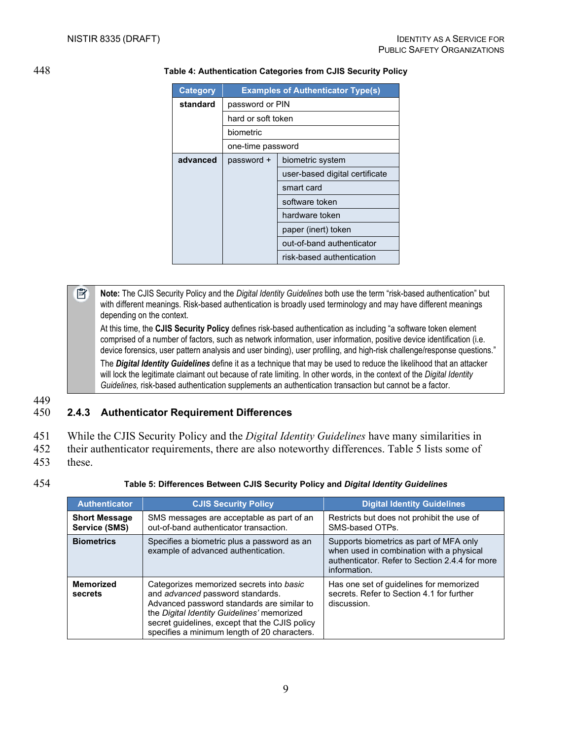<span id="page-16-1"></span>

#### 448 **Table 4: Authentication Categories from CJIS Security Policy**

| <b>Category</b> | <b>Examples of Authenticator Type(s)</b> |                                |  |  |
|-----------------|------------------------------------------|--------------------------------|--|--|
| standard        | password or PIN                          |                                |  |  |
|                 | hard or soft token                       |                                |  |  |
|                 | biometric                                |                                |  |  |
|                 | one-time password                        |                                |  |  |
| advanced        | biometric system<br>password +           |                                |  |  |
|                 |                                          | user-based digital certificate |  |  |
|                 | smart card                               |                                |  |  |
|                 | software token                           |                                |  |  |
|                 | hardware token                           |                                |  |  |
|                 | paper (inert) token                      |                                |  |  |
|                 | out-of-band authenticator                |                                |  |  |
|                 |                                          | risk-based authentication      |  |  |

EÏ, **Note:** The CJIS Security Policy and the *Digital Identity Guidelines* both use the term "risk-based authentication" but with different meanings. Risk-based authentication is broadly used terminology and may have different meanings depending on the context.

At this time, the **CJIS Security Policy** defines risk-based authentication as including "a software token element comprised of a number of factors, such as network information, user information, positive device identification (i.e. device forensics, user pattern analysis and user binding), user profiling, and high-risk challenge/response questions."

The *Digital Identity Guidelines* define it as a technique that may be used to reduce the likelihood that an attacker will lock the legitimate claimant out because of rate limiting. In other words, in the context of the *Digital Identity Guidelines,* risk-based authentication supplements an authentication transaction but cannot be a factor.

449

## <span id="page-16-0"></span>450 **2.4.3 Authenticator Requirement Differences**

|  | 451 While the CJIS Security Policy and the <i>Digital Identity Guidelines</i> have many similarities in |  |  |  |  |
|--|---------------------------------------------------------------------------------------------------------|--|--|--|--|
|--|---------------------------------------------------------------------------------------------------------|--|--|--|--|

- 452 their authenticator requirements, there are also noteworthy differences. [Table 5](#page-16-2) lists some of 453 these.
- 
- 

454 **Table 5: Differences Between CJIS Security Policy and** *Digital Identity Guidelines*

<span id="page-16-2"></span>

| <b>Authenticator</b>                  | <b>CJIS Security Policy</b>                                                                                                                                                                                                                                                | <b>Digital Identity Guidelines</b>                                                                                                                    |
|---------------------------------------|----------------------------------------------------------------------------------------------------------------------------------------------------------------------------------------------------------------------------------------------------------------------------|-------------------------------------------------------------------------------------------------------------------------------------------------------|
| <b>Short Message</b><br>Service (SMS) | SMS messages are acceptable as part of an<br>out-of-band authenticator transaction.                                                                                                                                                                                        | Restricts but does not prohibit the use of<br>SMS-based OTPs.                                                                                         |
| <b>Biometrics</b>                     | Specifies a biometric plus a password as an<br>example of advanced authentication.                                                                                                                                                                                         | Supports biometrics as part of MFA only<br>when used in combination with a physical<br>authenticator. Refer to Section 2.4.4 for more<br>information. |
| <b>Memorized</b><br>secrets           | Categorizes memorized secrets into basic<br>and advanced password standards.<br>Advanced password standards are similar to<br>the Digital Identity Guidelines' memorized<br>secret guidelines, except that the CJIS policy<br>specifies a minimum length of 20 characters. | Has one set of guidelines for memorized<br>secrets. Refer to Section 4.1 for further<br>discussion.                                                   |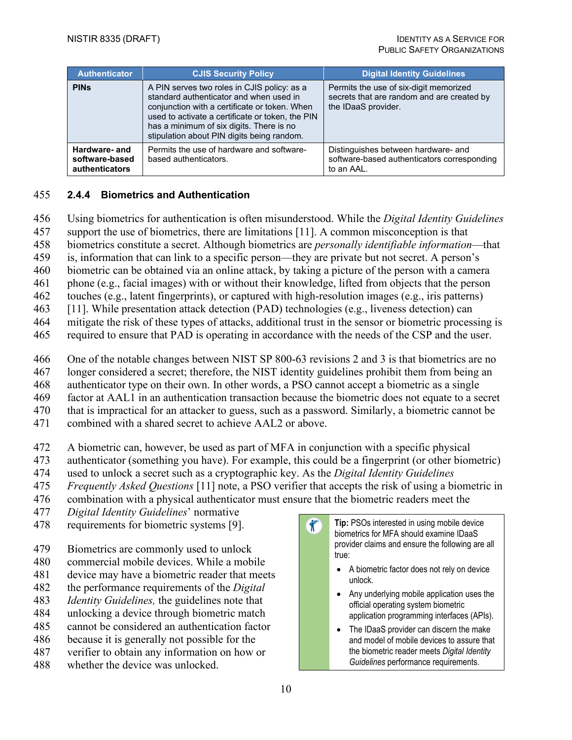| <b>Authenticator</b>                                     | <b>CJIS Security Policy</b>                                                                                                                                                                                                                                                           | <b>Digital Identity Guidelines</b>                                                                          |
|----------------------------------------------------------|---------------------------------------------------------------------------------------------------------------------------------------------------------------------------------------------------------------------------------------------------------------------------------------|-------------------------------------------------------------------------------------------------------------|
| <b>PIN<sub>s</sub></b>                                   | A PIN serves two roles in CJIS policy: as a<br>standard authenticator and when used in<br>conjunction with a certificate or token. When<br>used to activate a certificate or token, the PIN<br>has a minimum of six digits. There is no<br>stipulation about PIN digits being random. | Permits the use of six-digit memorized<br>secrets that are random and are created by<br>the IDaaS provider. |
| Hardware- and<br>software-based<br><b>authenticators</b> | Permits the use of hardware and software-<br>based authenticators.                                                                                                                                                                                                                    | Distinguishes between hardware- and<br>software-based authenticators corresponding<br>to an AAL.            |

#### <span id="page-17-0"></span>455 **2.4.4 Biometrics and Authentication**

- 456 Using biometrics for authentication is often misunderstood. While the *Digital Identity Guidelines*
- 457 support the use of biometrics, there are limitations [\[11\].](#page-30-2) A common misconception is that
- 458 biometrics constitute a secret. Although biometrics are *personally identifiable information*—that
- 459 is, information that can link to a specific person—they are private but not secret. A person's
- 460 biometric can be obtained via an online attack, by taking a picture of the person with a camera
- 461 phone (e.g., facial images) with or without their knowledge, lifted from objects that the person
- 462 touches (e.g., latent fingerprints), or captured with high-resolution images (e.g., iris patterns)
- 463 [\[11\].](#page-30-2) While presentation attack detection (PAD) technologies (e.g., liveness detection) can
- 464 mitigate the risk of these types of attacks, additional trust in the sensor or biometric processing is
- 465 required to ensure that PAD is operating in accordance with the needs of the CSP and the user.
- 466 One of the notable changes between NIST SP 800-63 revisions 2 and 3 is that biometrics are no
- 467 longer considered a secret; therefore, the NIST identity guidelines prohibit them from being an
- 468 authenticator type on their own. In other words, a PSO cannot accept a biometric as a single
- 469 factor at AAL1 in an authentication transaction because the biometric does not equate to a secret
- 470 that is impractical for an attacker to guess, such as a password. Similarly, a biometric cannot be
- 471 combined with a shared secret to achieve AAL2 or above.
- 472 A biometric can, however, be used as part of MFA in conjunction with a specific physical
- 473 authenticator (something you have). For example, this could be a fingerprint (or other biometric)
- 474 used to unlock a secret such as a cryptographic key. As the *Digital Identity Guidelines*
- 475 *Frequently Asked Questions* [\[11\]](#page-30-2) note, a PSO verifier that accepts the risk of using a biometric in
- 476 combination with a physical authenticator must ensure that the biometric readers meet the
- 477 *Digital Identity Guidelines*' normative
- 478 requirements for biometric systems [\[9\].](#page-29-9)
- 479 Biometrics are commonly used to unlock
- 480 commercial mobile devices. While a mobile
- 481 device may have a biometric reader that meets
- 482 the performance requirements of the *Digital*
- 483 *Identity Guidelines,* the guidelines note that
- 484 unlocking a device through biometric match 485 cannot be considered an authentication factor
- 486 because it is generally not possible for the
- 487 verifier to obtain any information on how or
- 488 whether the device was unlocked.
- $\hat{\mathbf{r}}$ **Tip:** PSOs interested in using mobile device biometrics for MFA should examine IDaaS provider claims and ensure the following are all true:
	- A biometric factor does not rely on device unlock.
	- Any underlying mobile application uses the official operating system biometric application programming interfaces (APIs).
	- The IDaaS provider can discern the make and model of mobile devices to assure that the biometric reader meets *Digital Identity Guidelines* performance requirements.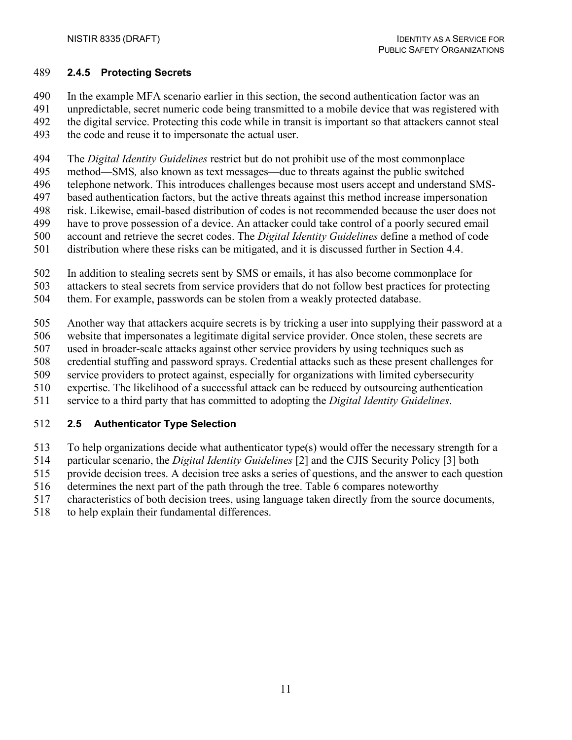#### <span id="page-18-0"></span>**2.4.5 Protecting Secrets**

In the example MFA scenario earlier in this section, the second authentication factor was an

- unpredictable, secret numeric code being transmitted to a mobile device that was registered with 492 the digital service. Protecting this code while in transit is important so that attackers cannot steal
- the code and reuse it to impersonate the actual user.

The *Digital Identity Guidelines* restrict but do not prohibit use of the most commonplace

- method—SMS*,* also known as text messages—due to threats against the public switched
- telephone network. This introduces challenges because most users accept and understand SMS-
- based authentication factors, but the active threats against this method increase impersonation
- risk. Likewise, email-based distribution of codes is not recommended because the user does not
- have to prove possession of a device. An attacker could take control of a poorly secured email account and retrieve the secret codes. The *Digital Identity Guidelines* define a method of code
- distribution where these risks can be mitigated, and it is discussed further in Section [4.4.](#page-26-0)
- In addition to stealing secrets sent by SMS or emails, it has also become commonplace for
- attackers to steal secrets from service providers that do not follow best practices for protecting
- them. For example, passwords can be stolen from a weakly protected database.

Another way that attackers acquire secrets is by tricking a user into supplying their password at a

- website that impersonates a legitimate digital service provider. Once stolen, these secrets are
- used in broader-scale attacks against other service providers by using techniques such as
- credential stuffing and password sprays. Credential attacks such as these present challenges for
- service providers to protect against, especially for organizations with limited cybersecurity
- expertise. The likelihood of a successful attack can be reduced by outsourcing authentication
- service to a third party that has committed to adopting the *Digital Identity Guidelines*.

## <span id="page-18-1"></span>**2.5 Authenticator Type Selection**

- To help organizations decide what authenticator type(s) would offer the necessary strength for a
- particular scenario, the *Digital Identity Guidelines* [\[2\]](#page-29-1) and the CJIS Security Policy [\[3\]](#page-29-2) both
- provide decision trees. A decision tree asks a series of questions, and the answer to each question
- determines the next part of the path through the tree. [Table 6](#page-19-0) compares noteworthy
- characteristics of both decision trees, using language taken directly from the source documents,
- to help explain their fundamental differences.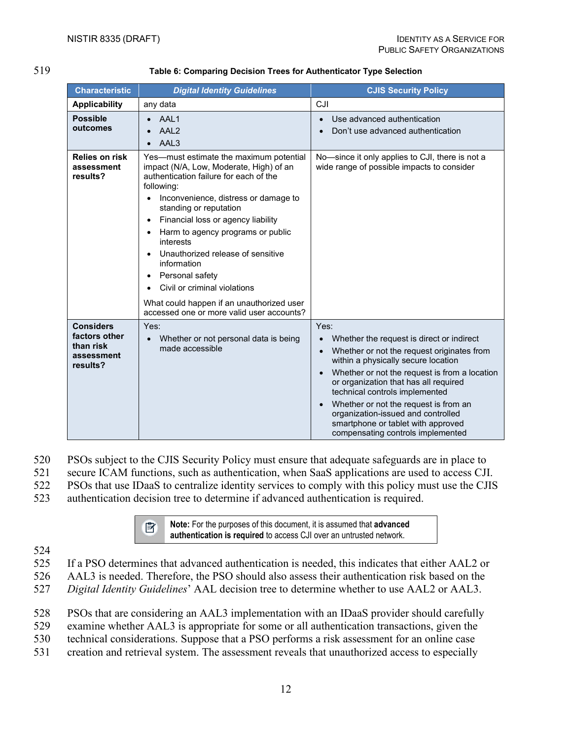| ۰.<br>×<br>v | I<br>۰.<br>٠ |
|--------------|--------------|

#### 519 **Table 6: Comparing Decision Trees for Authenticator Type Selection**

<span id="page-19-0"></span>

| <b>Characteristic</b>                                                    | <b>Digital Identity Guidelines</b>                                                                                                                                                                                                                                                                                                                                                                                                                                                                                              | <b>CJIS Security Policy</b>                                                                                                                                                                                                                                                                                                                                                                                                                                                      |  |
|--------------------------------------------------------------------------|---------------------------------------------------------------------------------------------------------------------------------------------------------------------------------------------------------------------------------------------------------------------------------------------------------------------------------------------------------------------------------------------------------------------------------------------------------------------------------------------------------------------------------|----------------------------------------------------------------------------------------------------------------------------------------------------------------------------------------------------------------------------------------------------------------------------------------------------------------------------------------------------------------------------------------------------------------------------------------------------------------------------------|--|
| <b>Applicability</b>                                                     | any data                                                                                                                                                                                                                                                                                                                                                                                                                                                                                                                        | CJI                                                                                                                                                                                                                                                                                                                                                                                                                                                                              |  |
| <b>Possible</b><br>outcomes                                              | AAL1<br>AAL <sub>2</sub><br>AAL3<br>$\bullet$                                                                                                                                                                                                                                                                                                                                                                                                                                                                                   | Use advanced authentication<br>$\bullet$<br>Don't use advanced authentication                                                                                                                                                                                                                                                                                                                                                                                                    |  |
| <b>Relies on risk</b><br>assessment<br>results?                          | Yes-must estimate the maximum potential<br>impact (N/A, Low, Moderate, High) of an<br>authentication failure for each of the<br>following:<br>Inconvenience, distress or damage to<br>standing or reputation<br>Financial loss or agency liability<br>$\bullet$<br>Harm to agency programs or public<br>interests<br>Unauthorized release of sensitive<br>information<br>Personal safety<br>$\bullet$<br>Civil or criminal violations<br>What could happen if an unauthorized user<br>accessed one or more valid user accounts? | No-since it only applies to CJI, there is not a<br>wide range of possible impacts to consider                                                                                                                                                                                                                                                                                                                                                                                    |  |
| <b>Considers</b><br>factors other<br>than risk<br>assessment<br>results? | Yes:<br>Whether or not personal data is being<br>$\bullet$<br>made accessible                                                                                                                                                                                                                                                                                                                                                                                                                                                   | Yes:<br>Whether the request is direct or indirect<br>$\bullet$<br>Whether or not the request originates from<br>$\bullet$<br>within a physically secure location<br>Whether or not the request is from a location<br>$\bullet$<br>or organization that has all required<br>technical controls implemented<br>Whether or not the request is from an<br>$\bullet$<br>organization-issued and controlled<br>smartphone or tablet with approved<br>compensating controls implemented |  |

- 520 PSOs subject to the CJIS Security Policy must ensure that adequate safeguards are in place to
- 521 secure ICAM functions, such as authentication, when SaaS applications are used to access CJI.
- 522 PSOs that use IDaaS to centralize identity services to comply with this policy must use the CJIS
- 523 authentication decision tree to determine if advanced authentication is required.



**Note:** For the purposes of this document, it is assumed that **advanced authentication is required** to access CJI over an untrusted network.

- 524
- 525 If a PSO determines that advanced authentication is needed, this indicates that either AAL2 or 526 AAL3 is needed. Therefore, the PSO should also assess their authentication risk based on the
- 527 *Digital Identity Guidelines*' AAL decision tree to determine whether to use AAL2 or AAL3.
- 528 PSOs that are considering an AAL3 implementation with an IDaaS provider should carefully
- 529 examine whether AAL3 is appropriate for some or all authentication transactions, given the
- 530 technical considerations. Suppose that a PSO performs a risk assessment for an online case
- 531 creation and retrieval system. The assessment reveals that unauthorized access to especially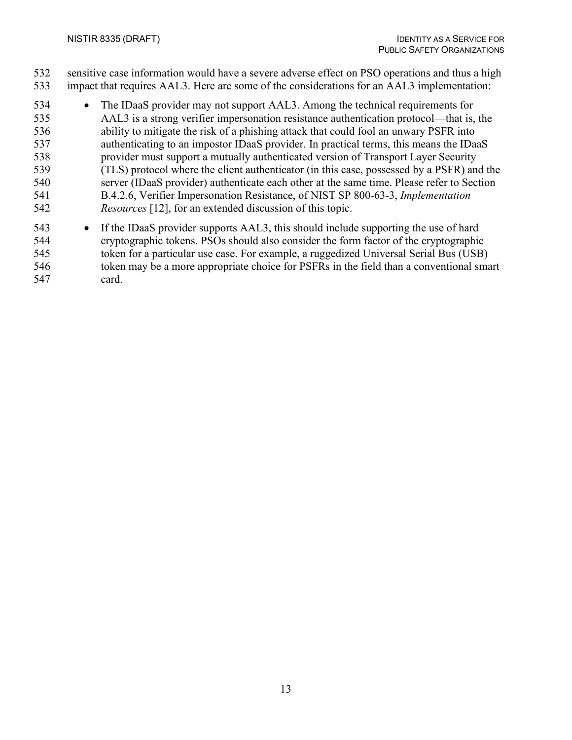sensitive case information would have a severe adverse effect on PSO operations and thus a high impact that requires AAL3. Here are some of the considerations for an AAL3 implementation:

- The IDaaS provider may not support AAL3. Among the technical requirements for AAL3 is a strong verifier impersonation resistance authentication protocol—that is, the ability to mitigate the risk of a phishing attack that could fool an unwary PSFR into authenticating to an impostor IDaaS provider. In practical terms, this means the IDaaS provider must support a mutually authenticated version of Transport Layer Security (TLS) protocol where the client authenticator (in this case, possessed by a PSFR) and the server (IDaaS provider) authenticate each other at the same time. Please refer to Section B.4.2.6, Verifier Impersonation Resistance, of NIST SP 800-63-3, *Implementation Resources* [\[12\],](#page-30-3) for an extended discussion of this topic.
- If the IDaaS provider supports AAL3, this should include supporting the use of hard cryptographic tokens. PSOs should also consider the form factor of the cryptographic token for a particular use case. For example, a ruggedized Universal Serial Bus (USB) token may be a more appropriate choice for PSFRs in the field than a conventional smart card.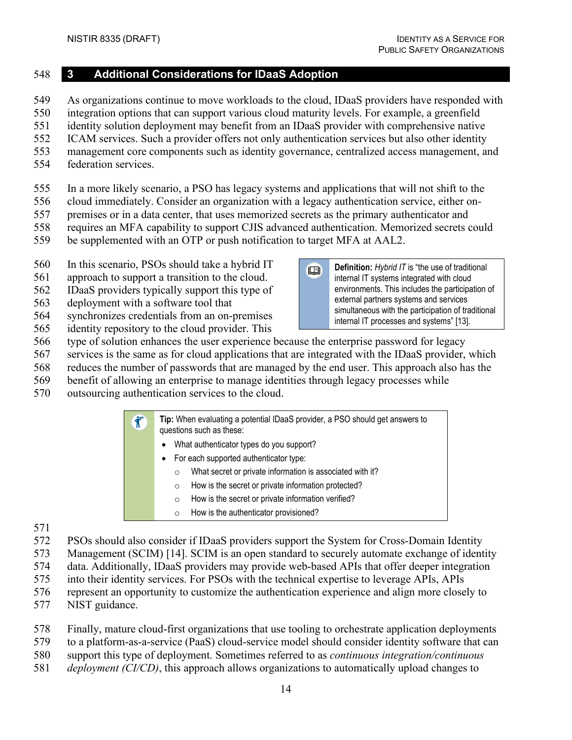#### <span id="page-21-0"></span>**3 Additional Considerations for IDaaS Adoption**

- As organizations continue to move workloads to the cloud, IDaaS providers have responded with
- integration options that can support various cloud maturity levels. For example, a greenfield
- identity solution deployment may benefit from an IDaaS provider with comprehensive native
- ICAM services. Such a provider offers not only authentication services but also other identity
- management core components such as identity governance, centralized access management, and
- federation services.
- In a more likely scenario, a PSO has legacy systems and applications that will not shift to the
- cloud immediately. Consider an organization with a legacy authentication service, either on-
- premises or in a data center, that uses memorized secrets as the primary authenticator and
- requires an MFA capability to support CJIS advanced authentication. Memorized secrets could
- be supplemented with an OTP or push notification to target MFA at AAL2.
- In this scenario, PSOs should take a hybrid IT
- approach to support a transition to the cloud.
- IDaaS providers typically support this type of
- deployment with a software tool that
- synchronizes credentials from an on-premises
- identity repository to the cloud provider. This
- type of solution enhances the user experience because the enterprise password for legacy
- services is the same as for cloud applications that are integrated with the IDaaS provider, which
- reduces the number of passwords that are managed by the end user. This approach also has the
- benefit of allowing an enterprise to manage identities through legacy processes while
- outsourcing authentication services to the cloud.

**Tip:** When evaluating a potential IDaaS provider, a PSO should get answers to  $\hat{\mathbf{r}}$ questions such as these:

- What authenticator types do you support?
- For each supported authenticator type:
	- o What secret or private information is associated with it?
	- o How is the secret or private information protected?
	- o How is the secret or private information verified?
	- o How is the authenticator provisioned?

- 
- PSOs should also consider if IDaaS providers support the System for Cross-Domain Identity
- Management (SCIM) [\[14\].](#page-30-4) SCIM is an open standard to securely automate exchange of identity
- data. Additionally, IDaaS providers may provide web-based APIs that offer deeper integration
- into their identity services. For PSOs with the technical expertise to leverage APIs, APIs
- represent an opportunity to customize the authentication experience and align more closely to
- NIST guidance.
- Finally, mature cloud-first organizations that use tooling to orchestrate application deployments
- to a platform-as-a-service (PaaS) cloud-service model should consider identity software that can
- support this type of deployment. Sometimes referred to as *continuous integration/continuous*
- *deployment (CI/CD)*, this approach allows organizations to automatically upload changes to

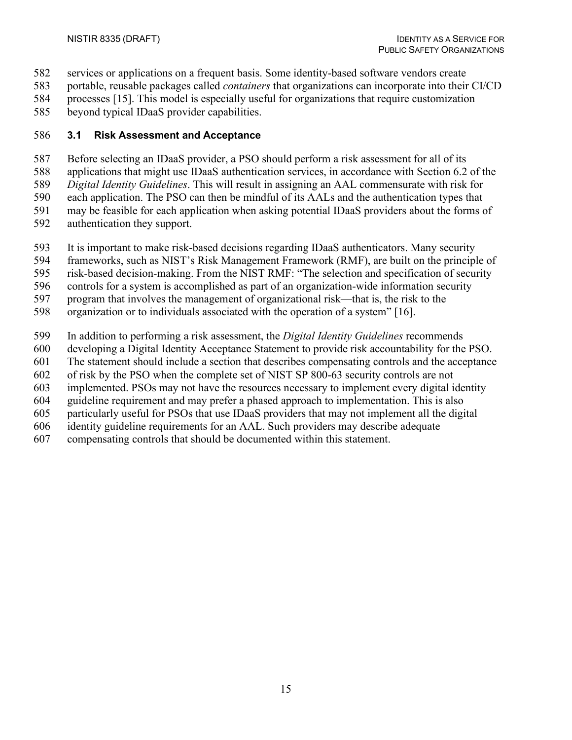- services or applications on a frequent basis. Some identity-based software vendors create
- portable, reusable packages called *containers* that organizations can incorporate into their CI/CD
- processes [\[15\].](#page-30-6) This model is especially useful for organizations that require customization
- beyond typical IDaaS provider capabilities.

## <span id="page-22-0"></span>**3.1 Risk Assessment and Acceptance**

- Before selecting an IDaaS provider, a PSO should perform a risk assessment for all of its
- applications that might use IDaaS authentication services, in accordance with Section 6.2 of the
- *Digital Identity Guidelines*. This will result in assigning an AAL commensurate with risk for
- each application. The PSO can then be mindful of its AALs and the authentication types that
- may be feasible for each application when asking potential IDaaS providers about the forms of
- authentication they support.
- It is important to make risk-based decisions regarding IDaaS authenticators. Many security
- frameworks, such as NIST's Risk Management Framework (RMF), are built on the principle of
- risk-based decision-making. From the NIST RMF: "The selection and specification of security
- controls for a system is accomplished as part of an organization-wide information security
- program that involves the management of organizational risk—that is, the risk to the
- organization or to individuals associated with the operation of a system" [\[16\].](#page-30-7)
- In addition to performing a risk assessment, the *Digital Identity Guidelines* recommends
- developing a Digital Identity Acceptance Statement to provide risk accountability for the PSO.
- The statement should include a section that describes compensating controls and the acceptance
- of risk by the PSO when the complete set of NIST SP 800-63 security controls are not
- implemented. PSOs may not have the resources necessary to implement every digital identity
- guideline requirement and may prefer a phased approach to implementation. This is also
- particularly useful for PSOs that use IDaaS providers that may not implement all the digital
- identity guideline requirements for an AAL. Such providers may describe adequate
- compensating controls that should be documented within this statement.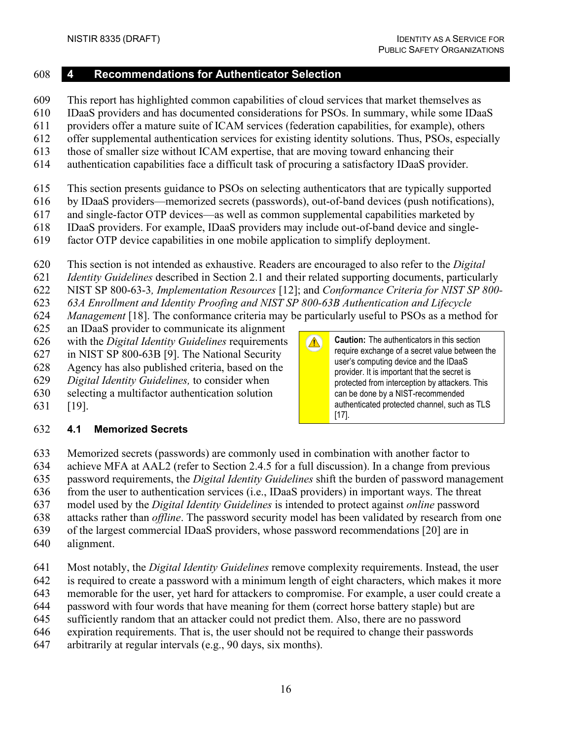**Caution:** The authenticators in this section require exchange of a secret value between the user's computing device and the IDaaS provider. It is important that the secret is protected from interception by attackers. This can be done by a NIST-recommended authenticated protected channel, such as TLS

[\[17\].](#page-30-9)

 $\triangle$ 

## <span id="page-23-0"></span>**4 Recommendations for Authenticator Selection**

- This report has highlighted common capabilities of cloud services that market themselves as
- IDaaS providers and has documented considerations for PSOs. In summary, while some IDaaS
- providers offer a mature suite of ICAM services (federation capabilities, for example), others
- offer supplemental authentication services for existing identity solutions. Thus, PSOs, especially
- those of smaller size without ICAM expertise, that are moving toward enhancing their
- authentication capabilities face a difficult task of procuring a satisfactory IDaaS provider.
- This section presents guidance to PSOs on selecting authenticators that are typically supported
- by IDaaS providers—memorized secrets (passwords), out-of-band devices (push notifications),
- and single-factor OTP devices—as well as common supplemental capabilities marketed by
- IDaaS providers. For example, IDaaS providers may include out-of-band device and single-
- factor OTP device capabilities in one mobile application to simplify deployment.
- This section is not intended as exhaustive. Readers are encouraged to also refer to the *Digital*
- *Identity Guidelines* described in Section [2.1](#page-11-1) and their related supporting documents, particularly
- NIST SP 800-63-3*, Implementation Resources* [\[12\];](#page-30-3) and *Conformance Criteria for NIST SP 800-*
- *63A Enrollment and Identity Proofing and NIST SP 800-63B Authentication and Lifecycle*
- *Management* [\[18\].](#page-30-0) The conformance criteria may be particularly useful to PSOs as a method for
- an IDaaS provider to communicate its alignment
- with the *Digital Identity Guidelines* requirements
- in NIST SP 800-63B [\[9\].](#page-29-9) The National Security
- Agency has also published criteria, based on the
- *Digital Identity Guidelines,* to consider when
- selecting a multifactor authentication solution
- [\[19\].](#page-30-8)

## <span id="page-23-1"></span>**4.1 Memorized Secrets**

- Memorized secrets (passwords) are commonly used in combination with another factor to
- achieve MFA at AAL2 (refer to Section [2.4.5](#page-18-0) for a full discussion). In a change from previous
- password requirements, the *Digital Identity Guidelines* shift the burden of password management
- from the user to authentication services (i.e., IDaaS providers) in important ways. The threat
- model used by the *Digital Identity Guidelines* is intended to protect against *online* password
- attacks rather than *offline*. The password security model has been validated by research from one
- of the largest commercial IDaaS providers, whose password recommendations [\[20\]](#page-31-0) are in
- alignment.
- Most notably, the *Digital Identity Guidelines* remove complexity requirements. Instead, the user
- is required to create a password with a minimum length of eight characters, which makes it more
- memorable for the user, yet hard for attackers to compromise. For example, a user could create a
- password with four words that have meaning for them (correct horse battery staple) but are
- sufficiently random that an attacker could not predict them. Also, there are no password
- expiration requirements. That is, the user should not be required to change their passwords
- arbitrarily at regular intervals (e.g., 90 days, six months).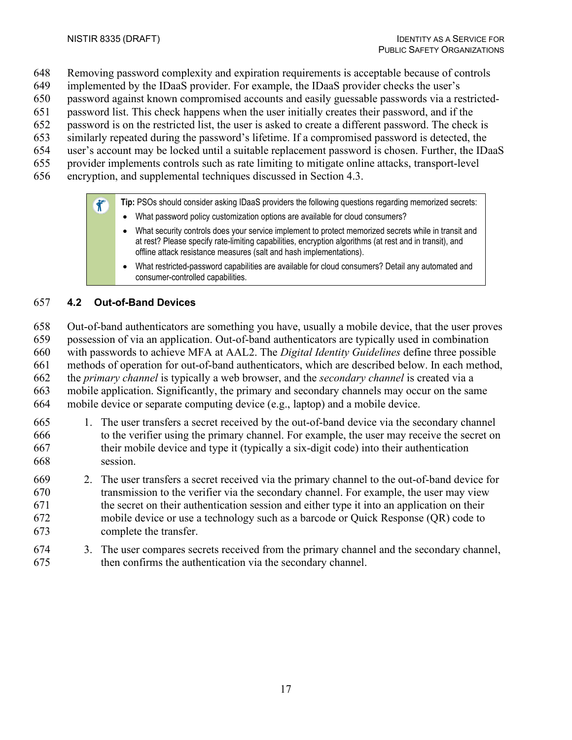- Removing password complexity and expiration requirements is acceptable because of controls
- implemented by the IDaaS provider. For example, the IDaaS provider checks the user's
- password against known compromised accounts and easily guessable passwords via a restricted-
- password list. This check happens when the user initially creates their password, and if the
- password is on the restricted list, the user is asked to create a different password. The check is
- similarly repeated during the password's lifetime. If a compromised password is detected, the
- user's account may be locked until a suitable replacement password is chosen. Further, the IDaaS
- provider implements controls such as rate limiting to mitigate online attacks, transport-level
- encryption, and supplemental techniques discussed in Section [4.3.](#page-25-0)

 $\hat{\mathbf{r}}$ **Tip:** PSOs should consider asking IDaaS providers the following questions regarding memorized secrets:

- What password policy customization options are available for cloud consumers?
- What security controls does your service implement to protect memorized secrets while in transit and at rest? Please specify rate-limiting capabilities, encryption algorithms (at rest and in transit), and offline attack resistance measures (salt and hash implementations).
- What restricted-password capabilities are available for cloud consumers? Detail any automated and consumer-controlled capabilities.

## <span id="page-24-0"></span>**4.2 Out-of-Band Devices**

Out-of-band authenticators are something you have, usually a mobile device, that the user proves

possession of via an application. Out-of-band authenticators are typically used in combination

with passwords to achieve MFA at AAL2. The *Digital Identity Guidelines* define three possible

methods of operation for out-of-band authenticators, which are described below. In each method,

 the *primary channel* is typically a web browser, and the *secondary channel* is created via a mobile application. Significantly, the primary and secondary channels may occur on the same

mobile device or separate computing device (e.g., laptop) and a mobile device.

- 1. The user transfers a secret received by the out-of-band device via the secondary channel to the verifier using the primary channel. For example, the user may receive the secret on their mobile device and type it (typically a six-digit code) into their authentication session.
- 2. The user transfers a secret received via the primary channel to the out-of-band device for transmission to the verifier via the secondary channel. For example, the user may view the secret on their authentication session and either type it into an application on their mobile device or use a technology such as a barcode or Quick Response (QR) code to complete the transfer.
- 3. The user compares secrets received from the primary channel and the secondary channel, then confirms the authentication via the secondary channel.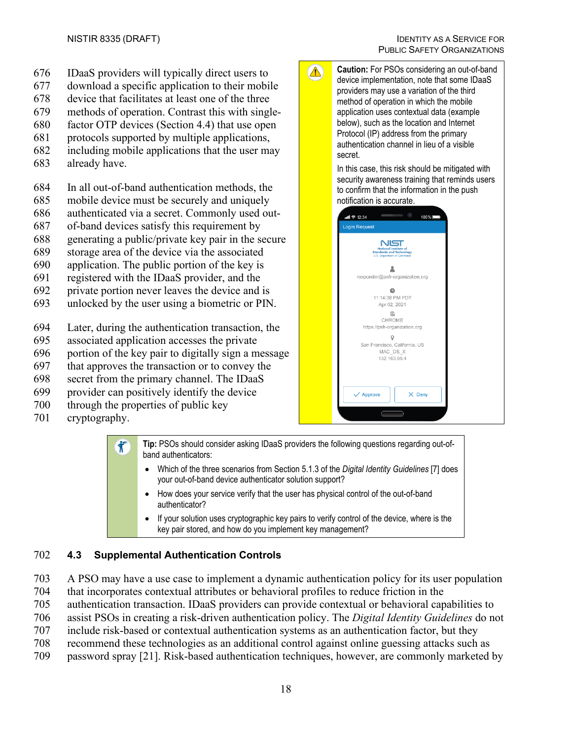- 676 IDaaS providers will typically direct users to
- 677 download a specific application to their mobile
- 678 device that facilitates at least one of the three
- 679 methods of operation. Contrast this with single-
- 680 factor OTP devices (Section [4.4\)](#page-26-0) that use open
- 681 protocols supported by multiple applications,
- 682 including mobile applications that the user may
- 683 already have.
- 684 In all out-of-band authentication methods, the
- 685 mobile device must be securely and uniquely
- 686 authenticated via a secret. Commonly used out-
- 687 of-band devices satisfy this requirement by
- 688 generating a public/private key pair in the secure
- 689 storage area of the device via the associated
- 690 application. The public portion of the key is
- 691 registered with the IDaaS provider, and the
- 692 private portion never leaves the device and is
- 693 unlocked by the user using a biometric or PIN.
- 694 Later, during the authentication transaction, the
- 695 associated application accesses the private
- 696 portion of the key pair to digitally sign a message
- 697 that approves the transaction or to convey the
- 698 secret from the primary channel. The IDaaS
- 699 provider can positively identify the device
- 700 through the properties of public key
- 701 cryptography.

**Tip:** PSOs should consider asking IDaaS providers the following questions regarding out-of- $\mathbf{\hat{J}}^*$ band authenticators:

• Which of the three scenarios from Section 5.1.3 of the *Digital Identity Guidelines* [\[7\]](#page-29-7) does your out-of-band device authenticator solution support?

 $\Delta$ 

- How does your service verify that the user has physical control of the out-of-band authenticator?
- If your solution uses cryptographic key pairs to verify control of the device, where is the key pair stored, and how do you implement key management?

## <span id="page-25-0"></span>702 **4.3 Supplemental Authentication Controls**

- 703 A PSO may have a use case to implement a dynamic authentication policy for its user population
- 704 that incorporates contextual attributes or behavioral profiles to reduce friction in the
- 705 authentication transaction. IDaaS providers can provide contextual or behavioral capabilities to
- 706 assist PSOs in creating a risk-driven authentication policy. The *Digital Identity Guidelines* do not
- 707 include risk-based or contextual authentication systems as an authentication factor, but they
- 708 recommend these technologies as an additional control against online guessing attacks such as
- 709 password spray [\[21\].](#page-31-1) Risk-based authentication techniques, however, are commonly marketed by

**Caution:** For PSOs considering an out-of-band device implementation, note that some IDaaS providers may use a variation of the third method of operation in which the mobile application uses contextual data (example below), such as the location and Internet Protocol (IP) address from the primary

authentication channel in lieu of a visible secret. In this case, this risk should be mitigated with security awareness training that reminds users to confirm that the information in the push notification is accurate.

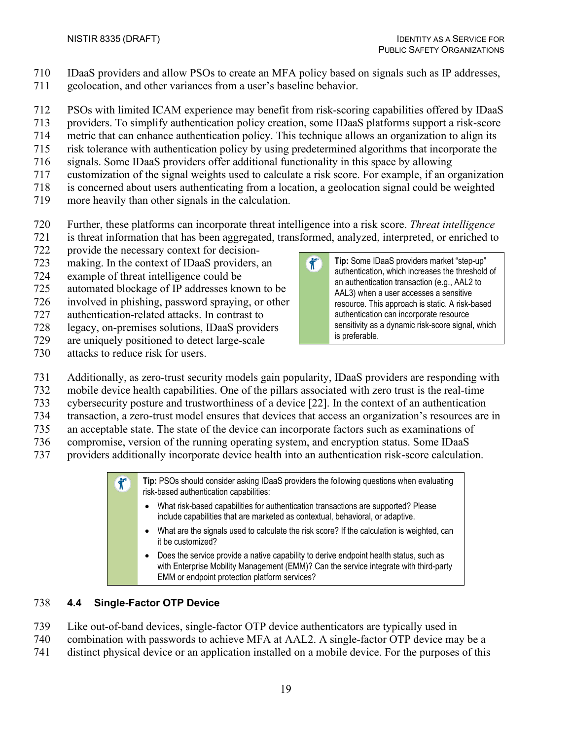- IDaaS providers and allow PSOs to create an MFA policy based on signals such as IP addresses,
- geolocation, and other variances from a user's baseline behavior.
- PSOs with limited ICAM experience may benefit from risk-scoring capabilities offered by IDaaS
- providers. To simplify authentication policy creation, some IDaaS platforms support a risk-score
- metric that can enhance authentication policy. This technique allows an organization to align its
- risk tolerance with authentication policy by using predetermined algorithms that incorporate the
- signals. Some IDaaS providers offer additional functionality in this space by allowing
- customization of the signal weights used to calculate a risk score. For example, if an organization
- is concerned about users authenticating from a location, a geolocation signal could be weighted
- more heavily than other signals in the calculation.
- Further, these platforms can incorporate threat intelligence into a risk score. *Threat intelligence*
- is threat information that has been aggregated, transformed, analyzed, interpreted, or enriched to
- provide the necessary context for decision-
- making. In the context of IDaaS providers, an
- example of threat intelligence could be
- automated blockage of IP addresses known to be
- involved in phishing, password spraying, or other
- authentication-related attacks. In contrast to
- legacy, on-premises solutions, IDaaS providers
- are uniquely positioned to detect large-scale
- attacks to reduce risk for users.
- Additionally, as zero-trust security models gain popularity, IDaaS providers are responding with
- mobile device health capabilities. One of the pillars associated with zero trust is the real-time
- cybersecurity posture and trustworthiness of a device [\[22\].](#page-31-2) In the context of an authentication
- transaction, a zero-trust model ensures that devices that access an organization's resources are in an acceptable state. The state of the device can incorporate factors such as examinations of
- compromise, version of the running operating system, and encryption status. Some IDaaS
- providers additionally incorporate device health into an authentication risk-score calculation.

**Tip:** PSOs should consider asking IDaaS providers the following questions when evaluating  $\mathbf{\hat{T}}^*$ risk-based authentication capabilities:

- What risk-based capabilities for authentication transactions are supported? Please include capabilities that are marketed as contextual, behavioral, or adaptive.
- What are the signals used to calculate the risk score? If the calculation is weighted, can it be customized?
- Does the service provide a native capability to derive endpoint health status, such as with Enterprise Mobility Management (EMM)? Can the service integrate with third-party EMM or endpoint protection platform services?

## <span id="page-26-0"></span>**4.4 Single-Factor OTP Device**

- Like out-of-band devices, single-factor OTP device authenticators are typically used in
- combination with passwords to achieve MFA at AAL2. A single-factor OTP device may be a
- distinct physical device or an application installed on a mobile device. For the purposes of this

 $\hat{\mathbf{r}}$ **Tip:** Some IDaaS providers market "step-up" authentication, which increases the threshold of an authentication transaction (e.g., AAL2 to AAL3) when a user accesses a sensitive resource. This approach is static. A risk-based authentication can incorporate resource sensitivity as a dynamic risk-score signal, which is preferable.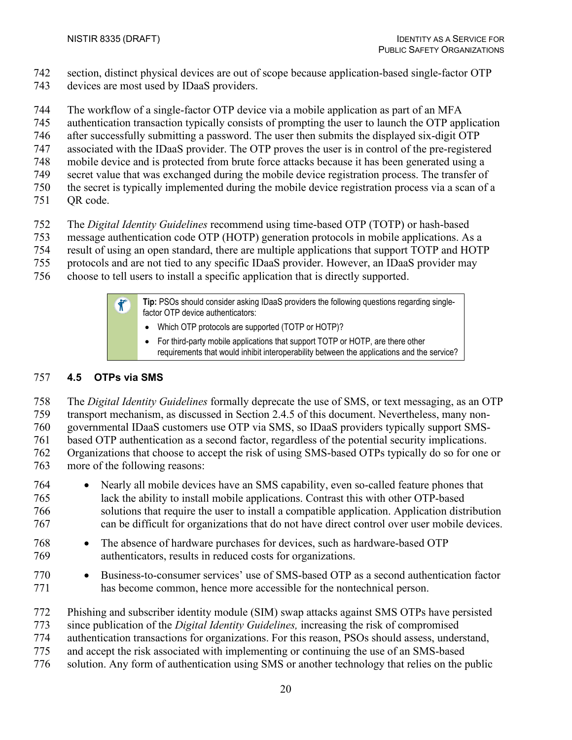- section, distinct physical devices are out of scope because application-based single-factor OTP
- devices are most used by IDaaS providers.
- The workflow of a single-factor OTP device via a mobile application as part of an MFA
- authentication transaction typically consists of prompting the user to launch the OTP application
- after successfully submitting a password. The user then submits the displayed six-digit OTP
- associated with the IDaaS provider. The OTP proves the user is in control of the pre-registered
- mobile device and is protected from brute force attacks because it has been generated using a
- secret value that was exchanged during the mobile device registration process. The transfer of
- the secret is typically implemented during the mobile device registration process via a scan of a
- QR code.
- The *Digital Identity Guidelines* recommend using time-based OTP (TOTP) or hash-based
- message authentication code OTP (HOTP) generation protocols in mobile applications. As a
- result of using an open standard, there are multiple applications that support TOTP and HOTP
- protocols and are not tied to any specific IDaaS provider. However, an IDaaS provider may
- choose to tell users to install a specific application that is directly supported.

**Tip:** PSOs should consider asking IDaaS providers the following questions regarding single- $\mathbf{\hat{X}}^*$ factor OTP device authenticators:

- Which OTP protocols are supported (TOTP or HOTP)?
- For third-party mobile applications that support TOTP or HOTP, are there other requirements that would inhibit interoperability between the applications and the service?

# <span id="page-27-0"></span>**4.5 OTPs via SMS**

 The *Digital Identity Guidelines* formally deprecate the use of SMS, or text messaging, as an OTP transport mechanism, as discussed in Section [2.4.5](#page-18-0) of this document. Nevertheless, many non-

governmental IDaaS customers use OTP via SMS, so IDaaS providers typically support SMS-

based OTP authentication as a second factor, regardless of the potential security implications.

 Organizations that choose to accept the risk of using SMS-based OTPs typically do so for one or more of the following reasons:

- Nearly all mobile devices have an SMS capability, even so-called feature phones that lack the ability to install mobile applications. Contrast this with other OTP-based solutions that require the user to install a compatible application. Application distribution can be difficult for organizations that do not have direct control over user mobile devices.
- The absence of hardware purchases for devices, such as hardware-based OTP authenticators, results in reduced costs for organizations.
- Business-to-consumer services' use of SMS-based OTP as a second authentication factor has become common, hence more accessible for the nontechnical person.
- Phishing and subscriber identity module (SIM) swap attacks against SMS OTPs have persisted
- since publication of the *Digital Identity Guidelines,* increasing the risk of compromised
- authentication transactions for organizations. For this reason, PSOs should assess, understand,
- and accept the risk associated with implementing or continuing the use of an SMS-based
- solution. Any form of authentication using SMS or another technology that relies on the public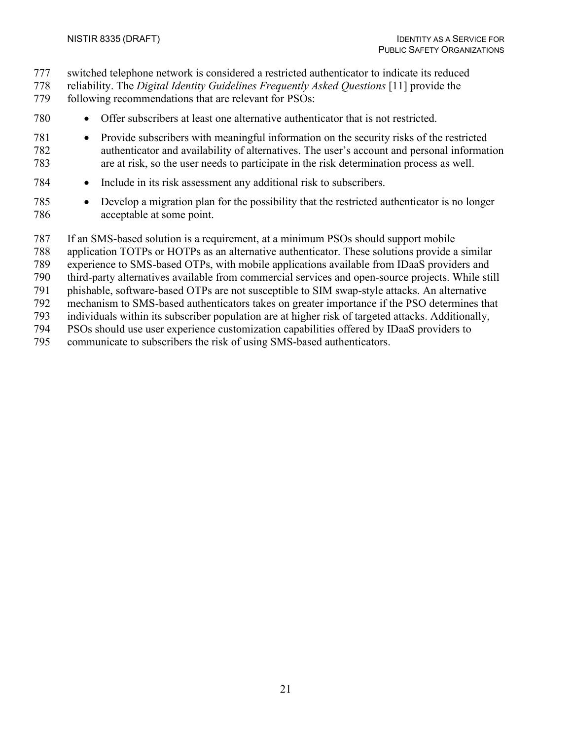- switched telephone network is considered a restricted authenticator to indicate its reduced
- reliability. The *Digital Identity Guidelines Frequently Asked Questions* [\[11\]](#page-30-2) provide the
- following recommendations that are relevant for PSOs:
- Offer subscribers at least one alternative authenticator that is not restricted.
- Provide subscribers with meaningful information on the security risks of the restricted authenticator and availability of alternatives. The user's account and personal information are at risk, so the user needs to participate in the risk determination process as well.
- Include in its risk assessment any additional risk to subscribers.
- Develop a migration plan for the possibility that the restricted authenticator is no longer acceptable at some point.
- If an SMS-based solution is a requirement, at a minimum PSOs should support mobile
- application TOTPs or HOTPs as an alternative authenticator. These solutions provide a similar
- experience to SMS-based OTPs, with mobile applications available from IDaaS providers and
- third-party alternatives available from commercial services and open-source projects. While still
- phishable, software-based OTPs are not susceptible to SIM swap-style attacks. An alternative
- mechanism to SMS-based authenticators takes on greater importance if the PSO determines that
- individuals within its subscriber population are at higher risk of targeted attacks. Additionally,
- PSOs should use user experience customization capabilities offered by IDaaS providers to
- communicate to subscribers the risk of using SMS-based authenticators.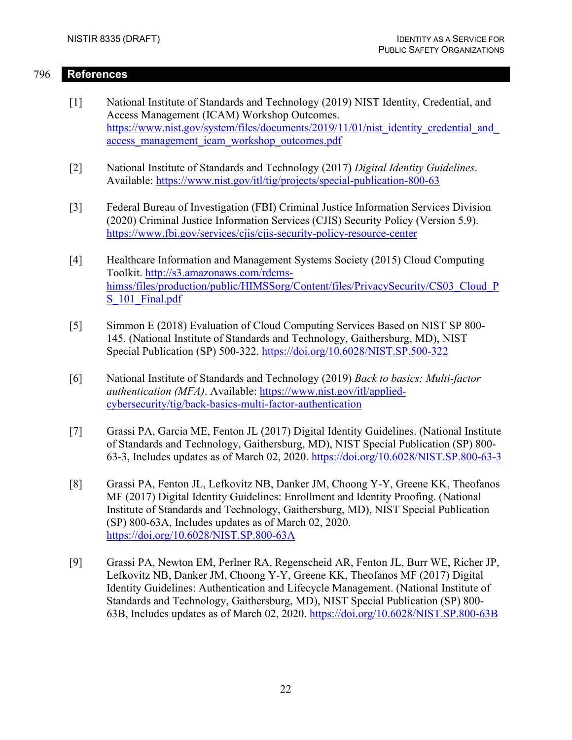## 796 **References**

- <span id="page-29-3"></span><span id="page-29-0"></span>[1] National Institute of Standards and Technology (2019) NIST Identity, Credential, and Access Management (ICAM) Workshop Outcomes. https://www.nist.gov/system/files/documents/2019/11/01/nist\_identity\_credential\_and [access\\_management\\_icam\\_workshop\\_outcomes.pdf](https://www.nist.gov/system/files/documents/2019/11/01/nist_identity_credential_and_access_management_icam_workshop_outcomes.pdf)
- <span id="page-29-1"></span>[2] National Institute of Standards and Technology (2017) *Digital Identity Guidelines*. Available:<https://www.nist.gov/itl/tig/projects/special-publication-800-63>
- <span id="page-29-2"></span>[3] Federal Bureau of Investigation (FBI) Criminal Justice Information Services Division (2020) Criminal Justice Information Services (CJIS) Security Policy (Version 5.9). <https://www.fbi.gov/services/cjis/cjis-security-policy-resource-center>
- <span id="page-29-4"></span>[4] Healthcare Information and Management Systems Society (2015) Cloud Computing Toolkit. [http://s3.amazonaws.com/rdcms](http://s3.amazonaws.com/rdcms-himss/files/production/public/HIMSSorg/Content/files/PrivacySecurity/CS03_Cloud_PS_101_Final.pdf)himss/files/production/public/HIMSSorg/Content/files/PrivacySecurity/CS03 Cloud P S 101 Final.pdf
- <span id="page-29-5"></span>[5] Simmon E (2018) Evaluation of Cloud Computing Services Based on NIST SP 800- 145*.* (National Institute of Standards and Technology, Gaithersburg, MD), NIST Special Publication (SP) 500-322. <https://doi.org/10.6028/NIST.SP.500-322>
- <span id="page-29-6"></span>[6] National Institute of Standards and Technology (2019) *Back to basics: Multi-factor authentication (MFA)*. Available: [https://www.nist.gov/itl/applied](https://www.nist.gov/itl/applied-cybersecurity/tig/back-basics-multi-factor-authentication)[cybersecurity/tig/back-basics-multi-factor-authentication](https://www.nist.gov/itl/applied-cybersecurity/tig/back-basics-multi-factor-authentication)
- <span id="page-29-7"></span>[7] Grassi PA, Garcia ME, Fenton JL (2017) Digital Identity Guidelines. (National Institute of Standards and Technology, Gaithersburg, MD), NIST Special Publication (SP) 800- 63-3, Includes updates as of March 02, 2020.<https://doi.org/10.6028/NIST.SP.800-63-3>
- <span id="page-29-8"></span>[8] Grassi PA, Fenton JL, Lefkovitz NB, Danker JM, Choong Y-Y, Greene KK, Theofanos MF (2017) Digital Identity Guidelines: Enrollment and Identity Proofing. (National Institute of Standards and Technology, Gaithersburg, MD), NIST Special Publication (SP) 800-63A, Includes updates as of March 02, 2020. <https://doi.org/10.6028/NIST.SP.800-63A>
- <span id="page-29-9"></span>[9] Grassi PA, Newton EM, Perlner RA, Regenscheid AR, Fenton JL, Burr WE, Richer JP, Lefkovitz NB, Danker JM, Choong Y-Y, Greene KK, Theofanos MF (2017) Digital Identity Guidelines: Authentication and Lifecycle Management. (National Institute of Standards and Technology, Gaithersburg, MD), NIST Special Publication (SP) 800- 63B, Includes updates as of March 02, 2020.<https://doi.org/10.6028/NIST.SP.800-63B>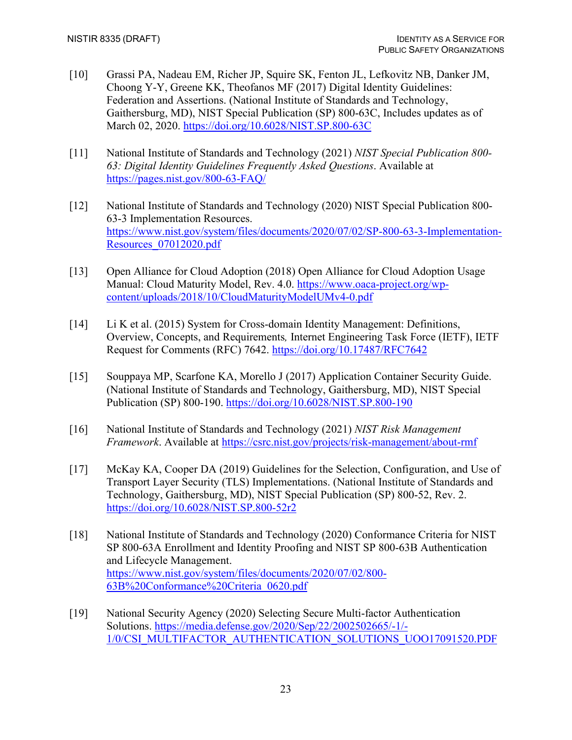- <span id="page-30-1"></span>[10] Grassi PA, Nadeau EM, Richer JP, Squire SK, Fenton JL, Lefkovitz NB, Danker JM, Choong Y-Y, Greene KK, Theofanos MF (2017) Digital Identity Guidelines: Federation and Assertions. (National Institute of Standards and Technology, Gaithersburg, MD), NIST Special Publication (SP) 800-63C, Includes updates as of March 02, 2020.<https://doi.org/10.6028/NIST.SP.800-63C>
- <span id="page-30-2"></span>[11] National Institute of Standards and Technology (2021) *NIST Special Publication 800- 63: Digital Identity Guidelines Frequently Asked Questions*. Available at <https://pages.nist.gov/800-63-FAQ/>
- <span id="page-30-3"></span>[12] National Institute of Standards and Technology (2020) NIST Special Publication 800- 63-3 Implementation Resources. [https://www.nist.gov/system/files/documents/2020/07/02/SP-800-63-3-Implementation-](https://www.nist.gov/system/files/documents/2020/07/02/SP-800-63-3-Implementation-Resources_07012020.pdf)[Resources\\_07012020.pdf](https://www.nist.gov/system/files/documents/2020/07/02/SP-800-63-3-Implementation-Resources_07012020.pdf)
- <span id="page-30-5"></span>[13] Open Alliance for Cloud Adoption (2018) Open Alliance for Cloud Adoption Usage Manual: Cloud Maturity Model, Rev. 4.0. [https://www.oaca-project.org/wp](https://www.oaca-project.org/wp-content/uploads/2018/10/CloudMaturityModelUMv4-0.pdf)[content/uploads/2018/10/CloudMaturityModelUMv4-0.pdf](https://www.oaca-project.org/wp-content/uploads/2018/10/CloudMaturityModelUMv4-0.pdf)
- <span id="page-30-4"></span>[14] Li K et al. (2015) System for Cross-domain Identity Management: Definitions, Overview, Concepts, and Requirements*,* Internet Engineering Task Force (IETF), IETF Request for Comments (RFC) 7642.<https://doi.org/10.17487/RFC7642>
- <span id="page-30-6"></span>[15] Souppaya MP, Scarfone KA, Morello J (2017) Application Container Security Guide. (National Institute of Standards and Technology, Gaithersburg, MD), NIST Special Publication (SP) 800-190.<https://doi.org/10.6028/NIST.SP.800-190>
- <span id="page-30-7"></span>[16] National Institute of Standards and Technology (2021) *NIST Risk Management Framework*. Available at <https://csrc.nist.gov/projects/risk-management/about-rmf>
- <span id="page-30-9"></span>[17] McKay KA, Cooper DA (2019) Guidelines for the Selection, Configuration, and Use of Transport Layer Security (TLS) Implementations. (National Institute of Standards and Technology, Gaithersburg, MD), NIST Special Publication (SP) 800-52, Rev. 2. <https://doi.org/10.6028/NIST.SP.800-52r2>
- <span id="page-30-0"></span>[18] National Institute of Standards and Technology (2020) Conformance Criteria for NIST SP 800-63A Enrollment and Identity Proofing and NIST SP 800-63B Authentication and Lifecycle Management. [https://www.nist.gov/system/files/documents/2020/07/02/800-](https://www.nist.gov/system/files/documents/2020/07/02/800-63B%20Conformance%20Criteria_0620.pdf) [63B%20Conformance%20Criteria\\_0620.pdf](https://www.nist.gov/system/files/documents/2020/07/02/800-63B%20Conformance%20Criteria_0620.pdf)
- <span id="page-30-8"></span>[19] National Security Agency (2020) Selecting Secure Multi-factor Authentication Solutions. [https://media.defense.gov/2020/Sep/22/2002502665/-1/-](https://media.defense.gov/2020/Sep/22/2002502665/-1/-1/0/CSI_MULTIFACTOR_AUTHENTICATION_SOLUTIONS_UOO17091520.PDF) [1/0/CSI\\_MULTIFACTOR\\_AUTHENTICATION\\_SOLUTIONS\\_UOO17091520.PDF](https://media.defense.gov/2020/Sep/22/2002502665/-1/-1/0/CSI_MULTIFACTOR_AUTHENTICATION_SOLUTIONS_UOO17091520.PDF)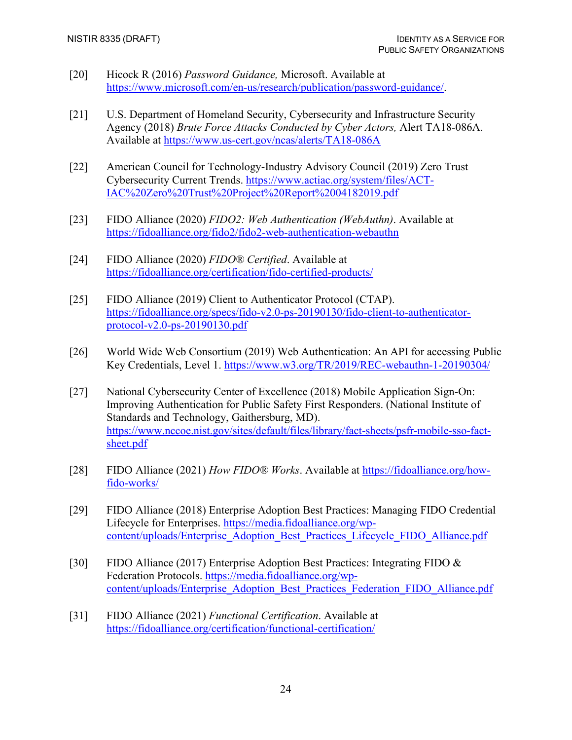- <span id="page-31-0"></span>[20] Hicock R (2016) *Password Guidance,* Microsoft. Available at [https://www.microsoft.com/en-us/research/publication/password-guidance/.](https://www.microsoft.com/en-us/research/publication/password-guidance/)
- <span id="page-31-1"></span>[21] U.S. Department of Homeland Security, Cybersecurity and Infrastructure Security Agency (2018) *Brute Force Attacks Conducted by Cyber Actors,* Alert TA18-086A. Available at <https://www.us-cert.gov/ncas/alerts/TA18-086A>
- <span id="page-31-2"></span>[22] American Council for Technology-Industry Advisory Council (2019) Zero Trust Cybersecurity Current Trends. [https://www.actiac.org/system/files/ACT-](https://www.actiac.org/system/files/ACT-IAC%20Zero%20Trust%20Project%20Report%2004182019.pdf)[IAC%20Zero%20Trust%20Project%20Report%2004182019.pdf](https://www.actiac.org/system/files/ACT-IAC%20Zero%20Trust%20Project%20Report%2004182019.pdf)
- <span id="page-31-3"></span>[23] FIDO Alliance (2020) *FIDO2: Web Authentication (WebAuthn)*. Available at <https://fidoalliance.org/fido2/fido2-web-authentication-webauthn>
- <span id="page-31-4"></span>[24] FIDO Alliance (2020) *FIDO® Certified*. Available at <https://fidoalliance.org/certification/fido-certified-products/>
- <span id="page-31-6"></span>[25] FIDO Alliance (2019) Client to Authenticator Protocol (CTAP). [https://fidoalliance.org/specs/fido-v2.0-ps-20190130/fido-client-to-authenticator](https://fidoalliance.org/specs/fido-v2.0-ps-20190130/fido-client-to-authenticator-protocol-v2.0-ps-20190130.pdf)[protocol-v2.0-ps-20190130.pdf](https://fidoalliance.org/specs/fido-v2.0-ps-20190130/fido-client-to-authenticator-protocol-v2.0-ps-20190130.pdf)
- <span id="page-31-5"></span>[26] World Wide Web Consortium (2019) Web Authentication: An API for accessing Public Key Credentials, Level 1.<https://www.w3.org/TR/2019/REC-webauthn-1-20190304/>
- <span id="page-31-7"></span>[27] National Cybersecurity Center of Excellence (2018) Mobile Application Sign-On: Improving Authentication for Public Safety First Responders. (National Institute of Standards and Technology, Gaithersburg, MD). [https://www.nccoe.nist.gov/sites/default/files/library/fact-sheets/psfr-mobile-sso-fact](https://www.nccoe.nist.gov/sites/default/files/library/fact-sheets/psfr-mobile-sso-fact-sheet.pdf)[sheet.pdf](https://www.nccoe.nist.gov/sites/default/files/library/fact-sheets/psfr-mobile-sso-fact-sheet.pdf)
- <span id="page-31-8"></span>[28] FIDO Alliance (2021) *How FIDO® Works*. Available at [https://fidoalliance.org/how](https://fidoalliance.org/how-fido-works/)[fido-works/](https://fidoalliance.org/how-fido-works/)
- <span id="page-31-9"></span>[29] FIDO Alliance (2018) Enterprise Adoption Best Practices: Managing FIDO Credential Lifecycle for Enterprises. [https://media.fidoalliance.org/wp](https://media.fidoalliance.org/wp-content/uploads/Enterprise_Adoption_Best_Practices_Lifecycle_FIDO_Alliance.pdf)[content/uploads/Enterprise\\_Adoption\\_Best\\_Practices\\_Lifecycle\\_FIDO\\_Alliance.pdf](https://media.fidoalliance.org/wp-content/uploads/Enterprise_Adoption_Best_Practices_Lifecycle_FIDO_Alliance.pdf)
- <span id="page-31-10"></span>[30] FIDO Alliance (2017) Enterprise Adoption Best Practices: Integrating FIDO & Federation Protocols. [https://media.fidoalliance.org/wp](https://media.fidoalliance.org/wp-content/uploads/Enterprise_Adoption_Best_Practices_Federation_FIDO_Alliance.pdf)[content/uploads/Enterprise\\_Adoption\\_Best\\_Practices\\_Federation\\_FIDO\\_Alliance.pdf](https://media.fidoalliance.org/wp-content/uploads/Enterprise_Adoption_Best_Practices_Federation_FIDO_Alliance.pdf)
- <span id="page-31-11"></span>[31] FIDO Alliance (2021) *Functional Certification*. Available at <https://fidoalliance.org/certification/functional-certification/>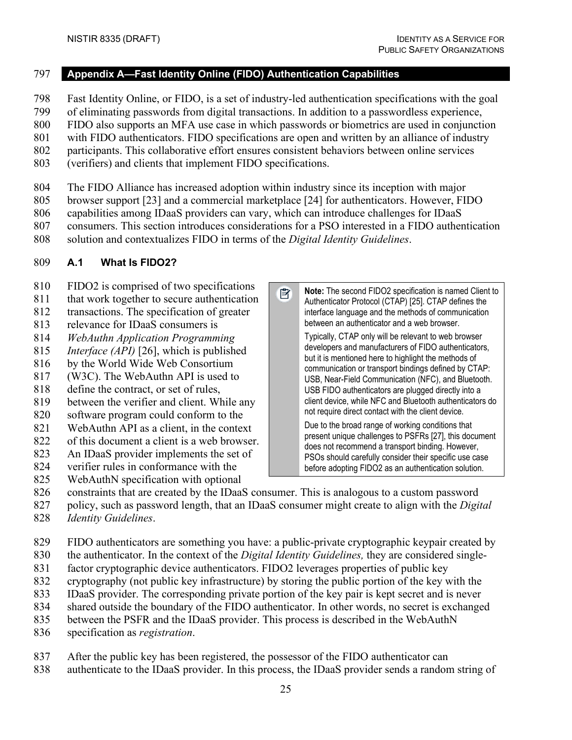<span id="page-32-0"></span>**Appendix A—Fast Identity Online (FIDO) Authentication Capabilities**

- Fast Identity Online, or FIDO, is a set of industry-led authentication specifications with the goal
- of eliminating passwords from digital transactions. In addition to a passwordless experience,
- FIDO also supports an MFA use case in which passwords or biometrics are used in conjunction
- with FIDO authenticators. FIDO specifications are open and written by an alliance of industry
- participants. This collaborative effort ensures consistent behaviors between online services
- (verifiers) and clients that implement FIDO specifications.
- The FIDO Alliance has increased adoption within industry since its inception with major
- browser support [\[23\]](#page-31-3) and a commercial marketplace [\[24\]](#page-31-4) for authenticators. However, FIDO
- capabilities among IDaaS providers can vary, which can introduce challenges for IDaaS
- consumers. This section introduces considerations for a PSO interested in a FIDO authentication

■

solution and contextualizes FIDO in terms of the *Digital Identity Guidelines*.

## <span id="page-32-1"></span>**A.1 What Is FIDO2?**

- FIDO2 is comprised of two specifications
- that work together to secure authentication transactions. The specification of greater
- relevance for IDaaS consumers is
- *WebAuthn Application Programming*
- *Interface (API)* [\[26\],](#page-31-5) which is published
- by the World Wide Web Consortium
- (W3C). The WebAuthn API is used to
- define the contract, or set of rules,
- between the verifier and client. While any
- software program could conform to the
- WebAuthn API as a client, in the context
- of this document a client is a web browser.
- An IDaaS provider implements the set of
- verifier rules in conformance with the
- WebAuthN specification with optional
- constraints that are created by the IDaaS consumer. This is analogous to a custom password
- policy, such as password length, that an IDaaS consumer might create to align with the *Digital*
- *Identity Guidelines*.
- FIDO authenticators are something you have: a public-private cryptographic keypair created by
- the authenticator. In the context of the *Digital Identity Guidelines,* they are considered single-
- factor cryptographic device authenticators. FIDO2 leverages properties of public key
- cryptography (not public key infrastructure) by storing the public portion of the key with the
- IDaaS provider. The corresponding private portion of the key pair is kept secret and is never
- shared outside the boundary of the FIDO authenticator. In other words, no secret is exchanged
- between the PSFR and the IDaaS provider. This process is described in the WebAuthN
- specification as *registration*.
- After the public key has been registered, the possessor of the FIDO authenticator can
- authenticate to the IDaaS provider. In this process, the IDaaS provider sends a random string of

**Note:** The second FIDO2 specification is named Client to Authenticator Protocol (CTAP[\) \[25\].](#page-31-6) CTAP defines the interface language and the methods of communication between an authenticator and a web browser. Typically, CTAP only will be relevant to web browser developers and manufacturers of FIDO authenticators, but it is mentioned here to highlight the methods of communication or transport bindings defined by CTAP: USB, Near-Field Communication (NFC), and Bluetooth. USB FIDO authenticators are plugged directly into a client device, while NFC and Bluetooth authenticators do not require direct contact with the client device. Due to the broad range of working conditions that present unique challenges to PSFR[s \[27\],](#page-31-7) this document

does not recommend a transport binding. However, PSOs should carefully consider their specific use case before adopting FIDO2 as an authentication solution.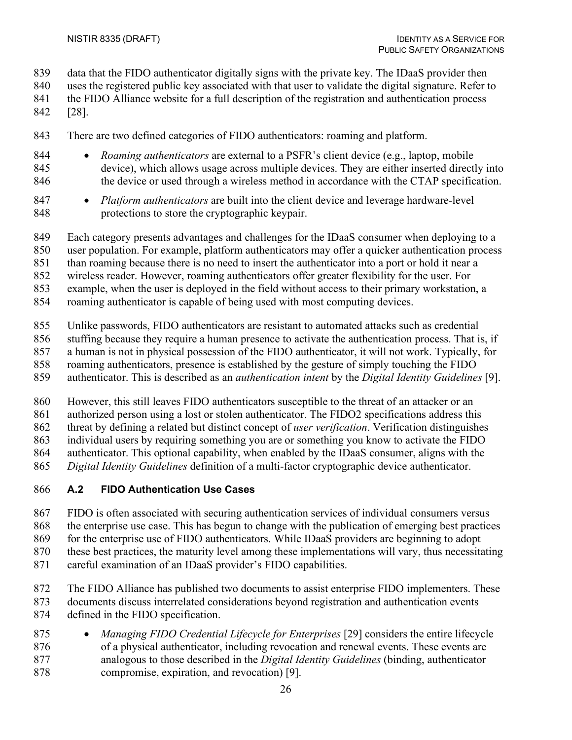- data that the FIDO authenticator digitally signs with the private key. The IDaaS provider then
- uses the registered public key associated with that user to validate the digital signature. Refer to
- the FIDO Alliance website for a full description of the registration and authentication process
- [\[28\].](#page-31-8)
- There are two defined categories of FIDO authenticators: roaming and platform.
- *Roaming authenticators* are external to a PSFR's client device (e.g., laptop, mobile device), which allows usage across multiple devices. They are either inserted directly into 846 the device or used through a wireless method in accordance with the CTAP specification.
- *Platform authenticators* are built into the client device and leverage hardware-level protections to store the cryptographic keypair.
- Each category presents advantages and challenges for the IDaaS consumer when deploying to a
- user population. For example, platform authenticators may offer a quicker authentication process
- than roaming because there is no need to insert the authenticator into a port or hold it near a
- wireless reader. However, roaming authenticators offer greater flexibility for the user. For
- example, when the user is deployed in the field without access to their primary workstation, a
- roaming authenticator is capable of being used with most computing devices.
- Unlike passwords, FIDO authenticators are resistant to automated attacks such as credential
- stuffing because they require a human presence to activate the authentication process. That is, if
- a human is not in physical possession of the FIDO authenticator, it will not work. Typically, for
- roaming authenticators, presence is established by the gesture of simply touching the FIDO
- authenticator. This is described as an *authentication intent* by the *Digital Identity Guidelines* [\[9\].](#page-29-9)
- However, this still leaves FIDO authenticators susceptible to the threat of an attacker or an
- authorized person using a lost or stolen authenticator. The FIDO2 specifications address this
- threat by defining a related but distinct concept of *user verification*. Verification distinguishes
- individual users by requiring something you are or something you know to activate the FIDO
- authenticator. This optional capability, when enabled by the IDaaS consumer, aligns with the
- *Digital Identity Guidelines* definition of a multi-factor cryptographic device authenticator.
- <span id="page-33-0"></span>**A.2 FIDO Authentication Use Cases**
- FIDO is often associated with securing authentication services of individual consumers versus
- the enterprise use case. This has begun to change with the publication of emerging best practices
- 869 for the enterprise use of FIDO authenticators. While IDaaS providers are beginning to adopt
- these best practices, the maturity level among these implementations will vary, thus necessitating
- careful examination of an IDaaS provider's FIDO capabilities.
- The FIDO Alliance has published two documents to assist enterprise FIDO implementers. These documents discuss interrelated considerations beyond registration and authentication events
- defined in the FIDO specification.
- *Managing FIDO Credential Lifecycle for Enterprises* [\[29\]](#page-31-9) considers the entire lifecycle of a physical authenticator, including revocation and renewal events. These events are analogous to those described in the *Digital Identity Guidelines* (binding, authenticator compromise, expiration, and revocation) [\[9\].](#page-29-9)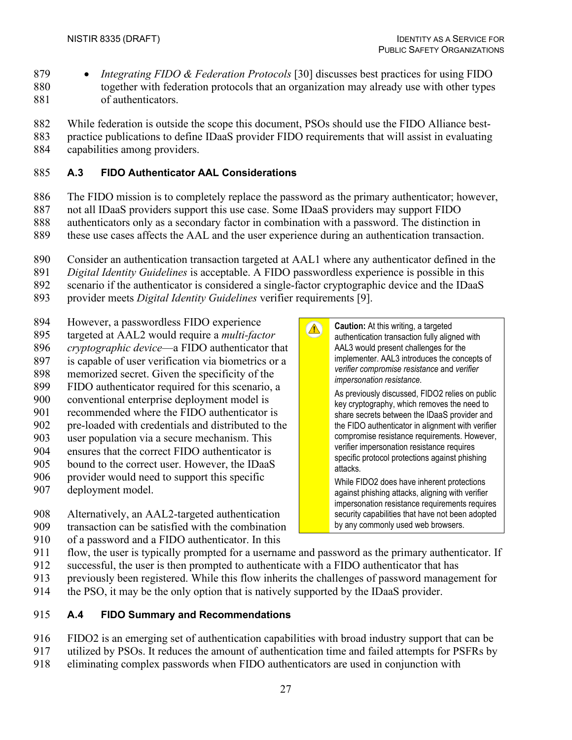- *Integrating FIDO & Federation Protocols* [\[30\]](#page-31-10) discusses best practices for using FIDO together with federation protocols that an organization may already use with other types
- of authenticators.
- While federation is outside the scope this document, PSOs should use the FIDO Alliance best-
- practice publications to define IDaaS provider FIDO requirements that will assist in evaluating
- capabilities among providers.

## <span id="page-34-0"></span>**A.3 FIDO Authenticator AAL Considerations**

- The FIDO mission is to completely replace the password as the primary authenticator; however,
- not all IDaaS providers support this use case. Some IDaaS providers may support FIDO
- authenticators only as a secondary factor in combination with a password. The distinction in
- these use cases affects the AAL and the user experience during an authentication transaction.
- Consider an authentication transaction targeted at AAL1 where any authenticator defined in the

 $\Delta$ 

- *Digital Identity Guidelines* is acceptable. A FIDO passwordless experience is possible in this
- scenario if the authenticator is considered a single-factor cryptographic device and the IDaaS
- provider meets *Digital Identity Guidelines* verifier requirements [\[9\].](#page-29-9)
- However, a passwordless FIDO experience
- targeted at AAL2 would require a *multi-factor*
- *cryptographic device*—a FIDO authenticator that
- is capable of user verification via biometrics or a
- memorized secret. Given the specificity of the
- FIDO authenticator required for this scenario, a conventional enterprise deployment model is
- recommended where the FIDO authenticator is
- pre-loaded with credentials and distributed to the
- user population via a secure mechanism. This
- ensures that the correct FIDO authenticator is
- bound to the correct user. However, the IDaaS
- provider would need to support this specific
- deployment model.
- Alternatively, an AAL2-targeted authentication transaction can be satisfied with the combination
- of a password and a FIDO authenticator. In this
- implementer. AAL3 introduces the concepts of *verifier compromise resistance* and *verifier impersonation resistance*. As previously discussed, FIDO2 relies on public key cryptography, which removes the need to share secrets between the IDaaS provider and the FIDO authenticator in alignment with verifier compromise resistance requirements. However, verifier impersonation resistance requires specific protocol protections against phishing attacks.

**Caution:** At this writing, a targeted authentication transaction fully aligned with AAL3 would present challenges for the

While FIDO2 does have inherent protections against phishing attacks, aligning with verifier impersonation resistance requirements requires security capabilities that have not been adopted by any commonly used web browsers.

- flow, the user is typically prompted for a username and password as the primary authenticator. If
- successful, the user is then prompted to authenticate with a FIDO authenticator that has
- previously been registered. While this flow inherits the challenges of password management for
- the PSO, it may be the only option that is natively supported by the IDaaS provider.

# <span id="page-34-1"></span>**A.4 FIDO Summary and Recommendations**

- FIDO2 is an emerging set of authentication capabilities with broad industry support that can be utilized by PSOs. It reduces the amount of authentication time and failed attempts for PSFRs by
- eliminating complex passwords when FIDO authenticators are used in conjunction with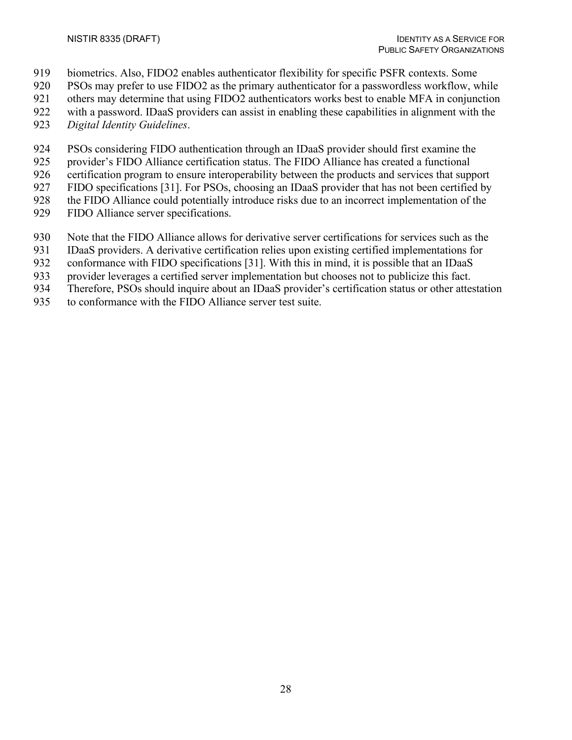- biometrics. Also, FIDO2 enables authenticator flexibility for specific PSFR contexts. Some
- PSOs may prefer to use FIDO2 as the primary authenticator for a passwordless workflow, while
- others may determine that using FIDO2 authenticators works best to enable MFA in conjunction
- with a password. IDaaS providers can assist in enabling these capabilities in alignment with the
- *Digital Identity Guidelines*.
- PSOs considering FIDO authentication through an IDaaS provider should first examine the
- provider's FIDO Alliance certification status. The FIDO Alliance has created a functional
- certification program to ensure interoperability between the products and services that support
- FIDO specifications [\[31\].](#page-31-11) For PSOs, choosing an IDaaS provider that has not been certified by
- the FIDO Alliance could potentially introduce risks due to an incorrect implementation of the
- FIDO Alliance server specifications.
- Note that the FIDO Alliance allows for derivative server certifications for services such as the
- IDaaS providers. A derivative certification relies upon existing certified implementations for
- conformance with FIDO specifications [\[31\].](#page-31-11) With this in mind, it is possible that an IDaaS
- provider leverages a certified server implementation but chooses not to publicize this fact.
- Therefore, PSOs should inquire about an IDaaS provider's certification status or other attestation
- to conformance with the FIDO Alliance server test suite.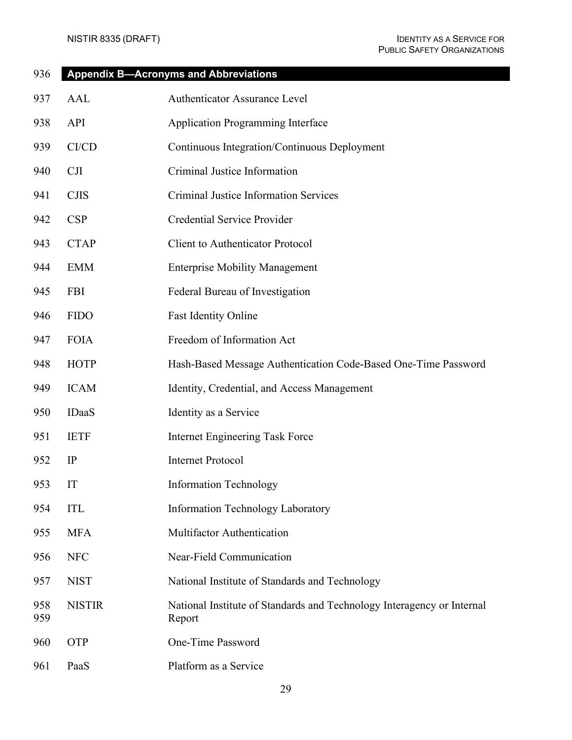<span id="page-36-0"></span>

| 936        |               | <b>Appendix B-Acronyms and Abbreviations</b>                                     |
|------------|---------------|----------------------------------------------------------------------------------|
| 937        | AAL           | Authenticator Assurance Level                                                    |
| 938        | API           | <b>Application Programming Interface</b>                                         |
| 939        | CI/CD         | Continuous Integration/Continuous Deployment                                     |
| 940        | CJI           | Criminal Justice Information                                                     |
| 941        | <b>CJIS</b>   | <b>Criminal Justice Information Services</b>                                     |
| 942        | CSP           | <b>Credential Service Provider</b>                                               |
| 943        | <b>CTAP</b>   | <b>Client to Authenticator Protocol</b>                                          |
| 944        | <b>EMM</b>    | <b>Enterprise Mobility Management</b>                                            |
| 945        | <b>FBI</b>    | Federal Bureau of Investigation                                                  |
| 946        | <b>FIDO</b>   | <b>Fast Identity Online</b>                                                      |
| 947        | <b>FOIA</b>   | Freedom of Information Act                                                       |
| 948        | <b>HOTP</b>   | Hash-Based Message Authentication Code-Based One-Time Password                   |
| 949        | <b>ICAM</b>   | Identity, Credential, and Access Management                                      |
| 950        | <b>IDaaS</b>  | Identity as a Service                                                            |
| 951        | <b>IETF</b>   | <b>Internet Engineering Task Force</b>                                           |
| 952        | IP            | <b>Internet Protocol</b>                                                         |
| 953        | IT            | Information Technology                                                           |
| 954        | <b>ITL</b>    | <b>Information Technology Laboratory</b>                                         |
| 955        | <b>MFA</b>    | Multifactor Authentication                                                       |
| 956        | <b>NFC</b>    | Near-Field Communication                                                         |
| 957        | <b>NIST</b>   | National Institute of Standards and Technology                                   |
| 958<br>959 | <b>NISTIR</b> | National Institute of Standards and Technology Interagency or Internal<br>Report |
| 960        | <b>OTP</b>    | One-Time Password                                                                |
| 961        | PaaS          | Platform as a Service                                                            |